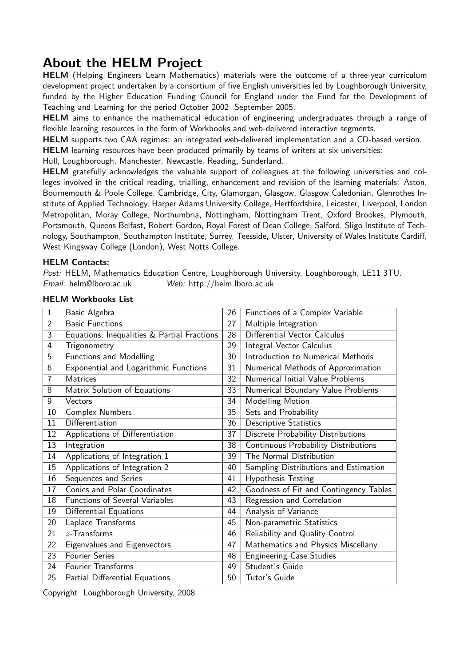## About the HELM Project

HELM (Helping Engineers Learn Mathematics) materials were the outcome of a three-year curriculum development project undertaken by a consortium of five English universities led by Loughborough University, funded by the Higher Education Funding Council for England under the Fund for the Development of Teaching and Learning for the period October 2002 September 2005.

HELM aims to enhance the mathematical education of engineering undergraduates through a range of flexible learning resources in the form of Workbooks and web-delivered interactive segments.

HELM supports two CAA regimes: an integrated web-delivered implementation and a CD-based version.

HELM learning resources have been produced primarily by teams of writers at six universities:

Hull, Loughborough, Manchester, Newcastle, Reading, Sunderland.

HELM gratefully acknowledges the valuable support of colleagues at the following universities and colleges involved in the critical reading, trialling, enhancement and revision of the learning materials: Aston, Bournemouth & Poole College, Cambridge, City, Glamorgan, Glasgow, Glasgow Caledonian, Glenrothes Institute of Applied Technology, Harper Adams University College, Hertfordshire, Leicester, Liverpool, London Metropolitan, Moray College, Northumbria, Nottingham, Nottingham Trent, Oxford Brookes, Plymouth, Portsmouth, Queens Belfast, Robert Gordon, Royal Forest of Dean College, Salford, Sligo Institute of Technology, Southampton, Southampton Institute, Surrey, Teesside, Ulster, University of Wales Institute Cardiff, West Kingsway College (London), West Notts College.

#### HELM Contacts:

Post: HELM, Mathematics Education Centre, Loughborough University, Loughborough, LE11 3TU. Email: helm@lboro.ac.uk Web: http://helm.lboro.ac.uk

| $\mathbf{1}$   | Basic Algebra                               | 26 | Functions of a Complex Variable        |
|----------------|---------------------------------------------|----|----------------------------------------|
| $\overline{2}$ | <b>Basic Functions</b>                      | 27 | Multiple Integration                   |
| 3              | Equations, Inequalities & Partial Fractions | 28 | Differential Vector Calculus           |
| 4              | Trigonometry                                | 29 | Integral Vector Calculus               |
| 5              | <b>Functions and Modelling</b>              | 30 | Introduction to Numerical Methods      |
| 6              | Exponential and Logarithmic Functions       | 31 | Numerical Methods of Approximation     |
| 7              | <b>Matrices</b>                             | 32 | Numerical Initial Value Problems       |
| 8              | Matrix Solution of Equations                | 33 | Numerical Boundary Value Problems      |
| 9              | Vectors                                     | 34 | Modelling Motion                       |
| 10             | Complex Numbers                             | 35 | Sets and Probability                   |
| 11             | Differentiation                             | 36 | <b>Descriptive Statistics</b>          |
| 12             | Applications of Differentiation             | 37 | Discrete Probability Distributions     |
| 13             | Integration                                 | 38 | Continuous Probability Distributions   |
| 14             | Applications of Integration 1               | 39 | The Normal Distribution                |
| 15             | Applications of Integration 2               | 40 | Sampling Distributions and Estimation  |
| 16             | Sequences and Series                        | 41 | <b>Hypothesis Testing</b>              |
| 17             | Conics and Polar Coordinates                | 42 | Goodness of Fit and Contingency Tables |
| 18             | <b>Functions of Several Variables</b>       | 43 | Regression and Correlation             |
| 19             | <b>Differential Equations</b>               | 44 | Analysis of Variance                   |
| 20             | Laplace Transforms                          | 45 | Non-parametric Statistics              |
| 21             | $z$ -Transforms                             | 46 | Reliability and Quality Control        |
| 22             | Eigenvalues and Eigenvectors                | 47 | Mathematics and Physics Miscellany     |
| 23             | <b>Fourier Series</b>                       | 48 | <b>Engineering Case Studies</b>        |
| 24             | Fourier Transforms                          | 49 | Student's Guide                        |
| 25             | Partial Differential Equations              | 50 | Tutor's Guide                          |

#### HELM Workbooks List

Copyright Loughborough University, 2008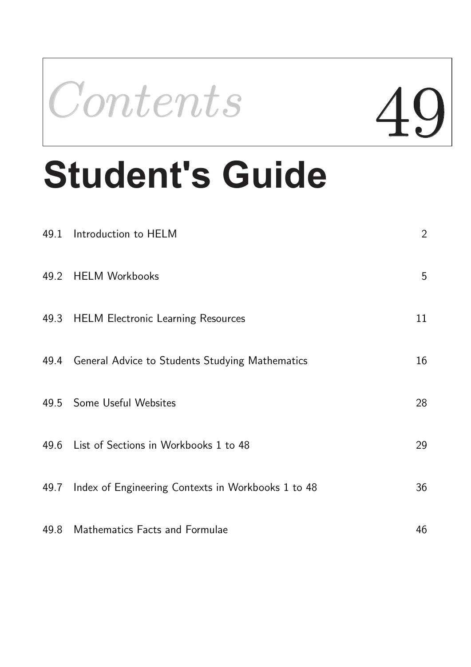

# **Student's Guide**

| 49.1 Introduction to HELM                               | $\overline{2}$ |
|---------------------------------------------------------|----------------|
| 49.2 HELM Workbooks                                     | 5              |
| 49.3 HELM Electronic Learning Resources                 | 11             |
| 49.4 General Advice to Students Studying Mathematics    | 16             |
| 49.5 Some Useful Websites                               | 28             |
| 49.6 List of Sections in Workbooks 1 to 48              | 29             |
| 49.7 Index of Engineering Contexts in Workbooks 1 to 48 | 36             |
| 49.8 Mathematics Facts and Formulae                     | 46             |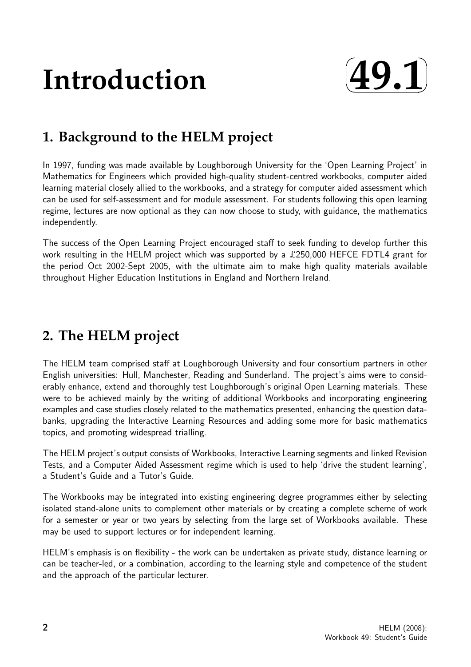# **Introduction**



# **1. Background to the HELM project**

In 1997, funding was made available by Loughborough University for the 'Open Learning Project' in Mathematics for Engineers which provided high-quality student-centred workbooks, computer aided learning material closely allied to the workbooks, and a strategy for computer aided assessment which can be used for self-assessment and for module assessment. For students following this open learning regime, lectures are now optional as they can now choose to study, with guidance, the mathematics independently.

The success of the Open Learning Project encouraged staff to seek funding to develop further this work resulting in the HELM project which was supported by a £250,000 HEFCE FDTL4 grant for the period Oct 2002-Sept 2005, with the ultimate aim to make high quality materials available throughout Higher Education Institutions in England and Northern Ireland.

# **2. The HELM project**

The HELM team comprised staff at Loughborough University and four consortium partners in other English universities: Hull, Manchester, Reading and Sunderland. The project's aims were to considerably enhance, extend and thoroughly test Loughborough's original Open Learning materials. These were to be achieved mainly by the writing of additional Workbooks and incorporating engineering examples and case studies closely related to the mathematics presented, enhancing the question databanks, upgrading the Interactive Learning Resources and adding some more for basic mathematics topics, and promoting widespread trialling.

The HELM project's output consists of Workbooks, Interactive Learning segments and linked Revision Tests, and a Computer Aided Assessment regime which is used to help 'drive the student learning', a Student's Guide and a Tutor's Guide.

The Workbooks may be integrated into existing engineering degree programmes either by selecting isolated stand-alone units to complement other materials or by creating a complete scheme of work for a semester or year or two years by selecting from the large set of Workbooks available. These may be used to support lectures or for independent learning.

HELM's emphasis is on flexibility - the work can be undertaken as private study, distance learning or can be teacher-led, or a combination, according to the learning style and competence of the student and the approach of the particular lecturer.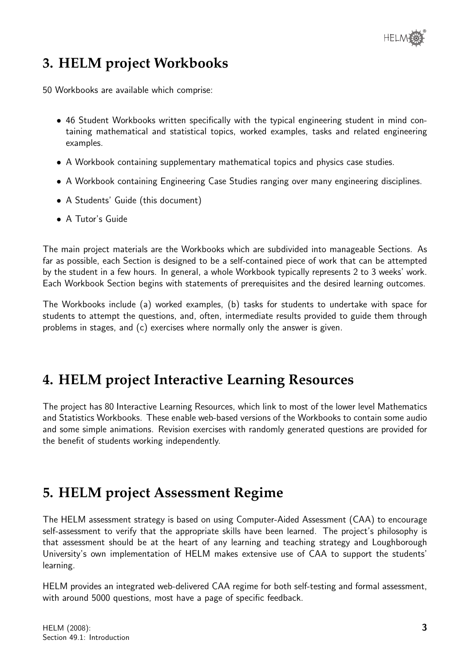## **3. HELM project Workbooks**

50 Workbooks are available which comprise:

- 46 Student Workbooks written specifically with the typical engineering student in mind containing mathematical and statistical topics, worked examples, tasks and related engineering examples.
- A Workbook containing supplementary mathematical topics and physics case studies.
- A Workbook containing Engineering Case Studies ranging over many engineering disciplines.
- A Students' Guide (this document)
- A Tutor's Guide

The main project materials are the Workbooks which are subdivided into manageable Sections. As far as possible, each Section is designed to be a self-contained piece of work that can be attempted by the student in a few hours. In general, a whole Workbook typically represents 2 to 3 weeks' work. Each Workbook Section begins with statements of prerequisites and the desired learning outcomes.

The Workbooks include (a) worked examples, (b) tasks for students to undertake with space for students to attempt the questions, and, often, intermediate results provided to guide them through problems in stages, and (c) exercises where normally only the answer is given.

## **4. HELM project Interactive Learning Resources**

The project has 80 Interactive Learning Resources, which link to most of the lower level Mathematics and Statistics Workbooks. These enable web-based versions of the Workbooks to contain some audio and some simple animations. Revision exercises with randomly generated questions are provided for the benefit of students working independently.

## **5. HELM project Assessment Regime**

The HELM assessment strategy is based on using Computer-Aided Assessment (CAA) to encourage self-assessment to verify that the appropriate skills have been learned. The project's philosophy is that assessment should be at the heart of any learning and teaching strategy and Loughborough University's own implementation of HELM makes extensive use of CAA to support the students' learning.

HELM provides an integrated web-delivered CAA regime for both self-testing and formal assessment, with around 5000 questions, most have a page of specific feedback.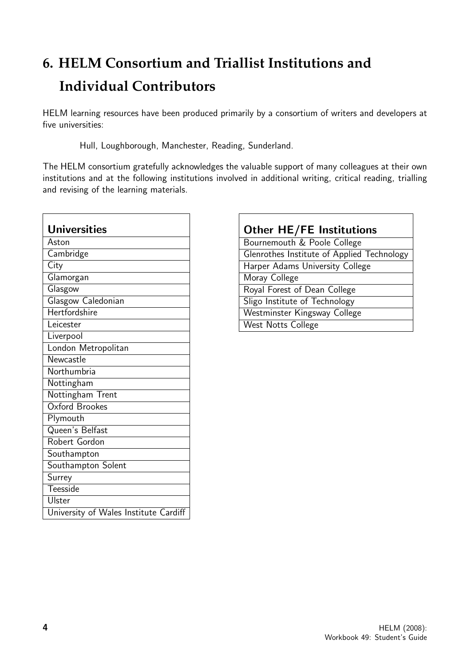# **6. HELM Consortium and Triallist Institutions and Individual Contributors**

HELM learning resources have been produced primarily by a consortium of writers and developers at five universities:

Hull, Loughborough, Manchester, Reading, Sunderland.

The HELM consortium gratefully acknowledges the valuable support of many colleagues at their own institutions and at the following institutions involved in additional writing, critical reading, trialling and revising of the learning materials.

| <b>Universities</b>                   |
|---------------------------------------|
| Aston                                 |
| Cambridge                             |
| City                                  |
| Glamorgan                             |
| Glasgow                               |
| Glasgow Caledonian                    |
| <b>Hertfordshire</b>                  |
| Leicester                             |
| Liverpool                             |
| London Metropolitan                   |
| Newcastle                             |
| Northumbria                           |
| Nottingham                            |
| Nottingham Trent                      |
| Oxford Brookes                        |
| Plymouth                              |
| Queen's Belfast                       |
| Robert Gordon                         |
| Southampton                           |
| Southampton Solent                    |
| Surrey                                |
| Teesside                              |
| <b>Ulster</b>                         |
| University of Wales Institute Cardiff |

| <b>Other HE/FE Institutions</b>            |
|--------------------------------------------|
| Bournemouth & Poole College                |
| Glenrothes Institute of Applied Technology |
| Harper Adams University College            |
| Moray College                              |
| Royal Forest of Dean College               |
| Sligo Institute of Technology              |
| Westminster Kingsway College               |
| West Notts College                         |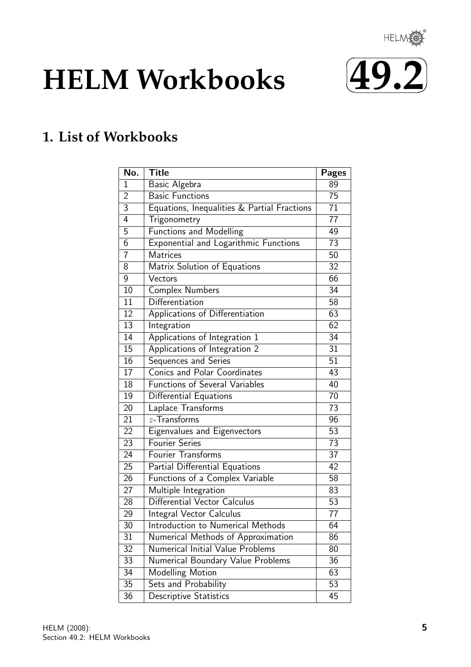

# **HELM Workbooks**



# **1. List of Workbooks**

| No.             | <b>Title</b>                                 | <b>Pages</b>    |
|-----------------|----------------------------------------------|-----------------|
| 1               | Basic Algebra                                | 89              |
| $\overline{2}$  | <b>Basic Functions</b>                       | 75              |
| $\overline{3}$  | Equations, Inequalities & Partial Fractions  | $\overline{71}$ |
| 4               | Trigonometry                                 | 77              |
| 5               | <b>Functions and Modelling</b>               | 49              |
| 6               | <b>Exponential and Logarithmic Functions</b> | 73              |
| 7               | <b>Matrices</b>                              | 50              |
| 8               | Matrix Solution of Equations                 | 32              |
| 9               | Vectors                                      | 66              |
| 10              | <b>Complex Numbers</b>                       | 34              |
| 11              | Differentiation                              | 58              |
| $\overline{12}$ | Applications of Differentiation              | 63              |
| 13              | Integration                                  | 62              |
| 14              | Applications of Integration 1                | 34              |
| 15              | Applications of Integration 2                | 31              |
| 16              | Sequences and Series                         | 51              |
| 17              | <b>Conics and Polar Coordinates</b>          | 43              |
| 18              | <b>Functions of Several Variables</b>        | 40              |
| 19              | Differential Equations                       | 70              |
| 20              | Laplace Transforms                           | 73              |
| 21              | $z$ -Transforms                              | 96              |
| 22              | Eigenvalues and Eigenvectors                 | 53              |
| 23              | <b>Fourier Series</b>                        | 73              |
| 24              | Fourier Transforms                           | 37              |
| 25              | Partial Differential Equations               | 42              |
| 26              | Functions of a Complex Variable              | 58              |
| 27              | Multiple Integration                         | 83              |
| 28              | Differential Vector Calculus                 | 53              |
| 29              | Integral Vector Calculus                     | 77              |
| 30              | Introduction to Numerical Methods            | 64              |
| 31              | Numerical Methods of Approximation           | 86              |
| 32              | Numerical Initial Value Problems             | 80              |
| $\overline{33}$ | Numerical Boundary Value Problems            | 36              |
| 34              | Modelling Motion                             | 63              |
| 35              | Sets and Probability                         | 53              |
| 36              | Descriptive Statistics                       | 45              |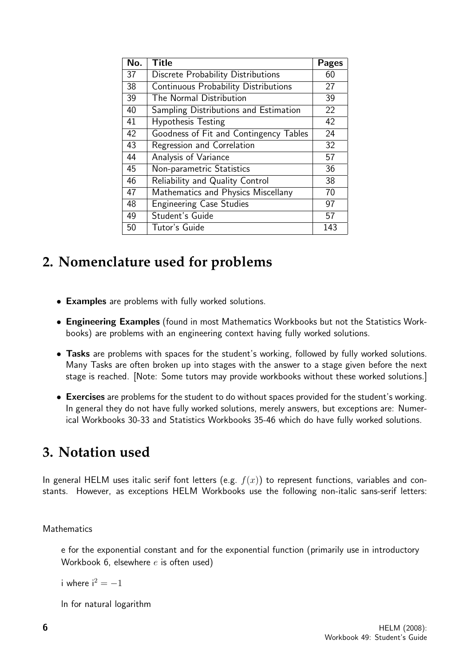| No. | <b>Title</b>                                | <b>Pages</b> |
|-----|---------------------------------------------|--------------|
| 37  | Discrete Probability Distributions          | 60           |
| 38  | <b>Continuous Probability Distributions</b> | 27           |
| 39  | The Normal Distribution                     | 39           |
| 40  | Sampling Distributions and Estimation       | 22           |
| 41  | <b>Hypothesis Testing</b>                   | 42           |
| 42  | Goodness of Fit and Contingency Tables      | 24           |
| 43  | Regression and Correlation                  | 32           |
| 44  | Analysis of Variance                        | 57           |
| 45  | Non-parametric Statistics                   | 36           |
| 46  | Reliability and Quality Control             | 38           |
| 47  | Mathematics and Physics Miscellany          | 70           |
| 48  | <b>Engineering Case Studies</b>             | 97           |
| 49  | Student's Guide                             | 57           |
| 50  | Tutor's Guide                               | 143          |

## **2. Nomenclature used for problems**

- Examples are problems with fully worked solutions.
- Engineering Examples (found in most Mathematics Workbooks but not the Statistics Workbooks) are problems with an engineering context having fully worked solutions.
- Tasks are problems with spaces for the student's working, followed by fully worked solutions. Many Tasks are often broken up into stages with the answer to a stage given before the next stage is reached. [Note: Some tutors may provide workbooks without these worked solutions.]
- Exercises are problems for the student to do without spaces provided for the student's working. In general they do not have fully worked solutions, merely answers, but exceptions are: Numerical Workbooks 30-33 and Statistics Workbooks 35-46 which do have fully worked solutions.

## **3. Notation used**

In general HELM uses italic serif font letters (e.g.  $f(x)$ ) to represent functions, variables and constants. However, as exceptions HELM Workbooks use the following non-italic sans-serif letters:

#### Mathematics

e for the exponential constant and for the exponential function (primarily use in introductory Workbook 6, elsewhere  $e$  is often used)

i where  $i^2 = -1$ 

ln for natural logarithm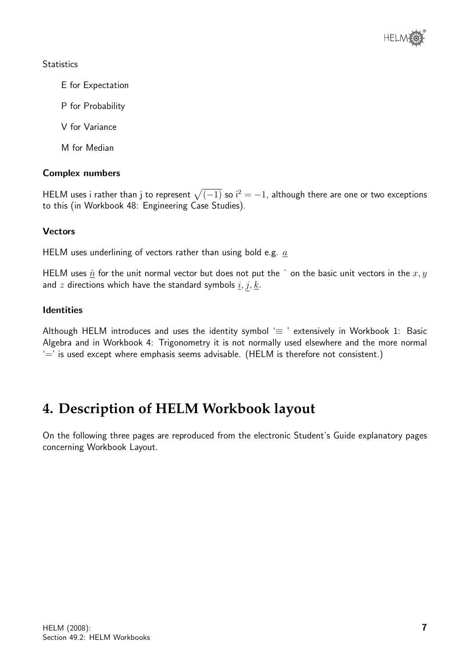

#### **Statistics**

- E for Expectation
- P for Probability
- V for Variance
- M for Median

#### Complex numbers

HELM uses i rather than j to represent  $\sqrt{(-1)}$  so  $i^2 = -1$ , although there are one or two exceptions to this (in Workbook 48: Engineering Case Studies).

#### **Vectors**

HELM uses underlining of vectors rather than using bold e.g.  $a$ 

HELM uses  $\hat{n}$  for the unit normal vector but does not put the  $\hat{ }$  on the basic unit vectors in the  $x, y$ and z directions which have the standard symbols  $\underline{i}, \underline{j}, \underline{k}$ .

#### Identities

Although HELM introduces and uses the identity symbol  $\equiv$  ' extensively in Workbook 1: Basic Algebra and in Workbook 4: Trigonometry it is not normally used elsewhere and the more normal  $\equiv$  is used except where emphasis seems advisable. (HELM is therefore not consistent.)

## **4. Description of HELM Workbook layout**

On the following three pages are reproduced from the electronic Student's Guide explanatory pages concerning Workbook Layout.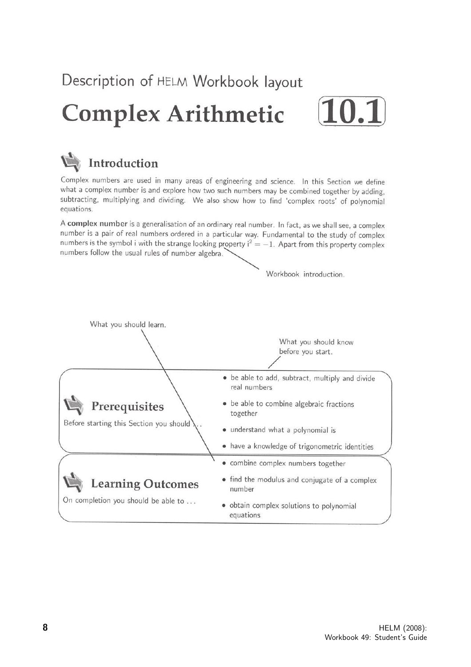Description of HELM Workbook layout

# **Complex Arithmetic**





Complex numbers are used in many areas of engineering and science. In this Section we define what a complex number is and explore how two such numbers may be combined together by adding, subtracting, multiplying and dividing. We also show how to find 'complex roots' of polynomial equations.

A complex number is a generalisation of an ordinary real number. In fact, as we shall see, a complex number is a pair of real numbers ordered in a particular way. Fundamental to the study of complex numbers is the symbol i with the strange looking property  $i^2 = -1$ . Apart from this property complex numbers follow the usual rules of number algebra.

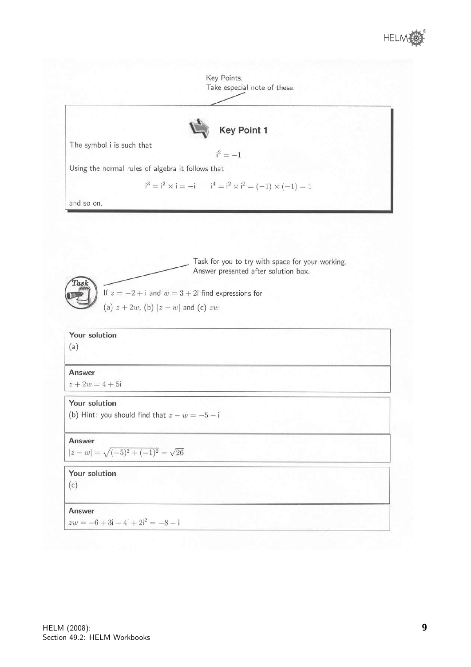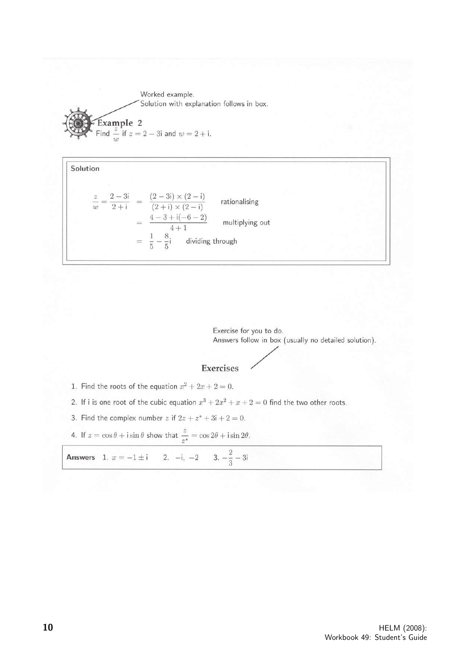Worked example. Solution with explanation follows in box. **Example 2**<br>Find  $\frac{z}{w}$  if  $z = 2 - 3i$  and  $w = 2 + i$ .



Exercise for you to do. Answers follow in box (usually no detailed solution).

#### Exercises

- 1. Find the roots of the equation  $x^2 + 2x + 2 = 0$ .
- 2. If i is one root of the cubic equation  $x^3 + 2x^2 + x + 2 = 0$  find the two other roots.
- 3. Find the complex number z if  $2z + z^* + 3i + 2 = 0$ .
- 4. If  $z = \cos \theta + i \sin \theta$  show that  $\frac{z}{z^*} = \cos 2\theta + i \sin 2\theta$ .

**Answers** 1.  $x = -1 \pm i$  2.  $-i$ ,  $-2$  3.  $-\frac{2}{3} - 3i$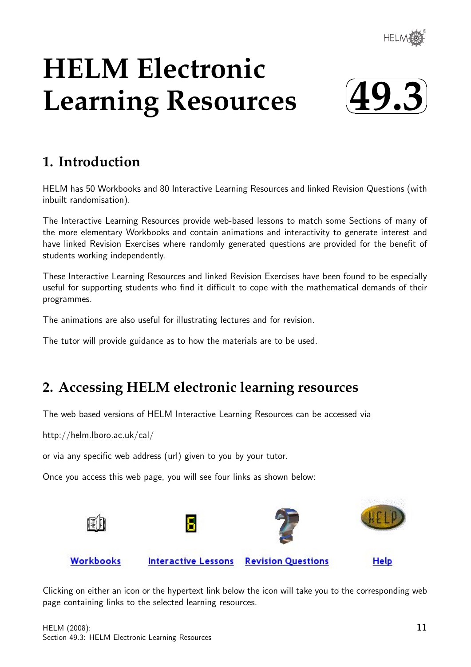

# **HELM Electronic Learning Resources**



## **1. Introduction**

HELM has 50 Workbooks and 80 Interactive Learning Resources and linked Revision Questions (with inbuilt randomisation).

The Interactive Learning Resources provide web-based lessons to match some Sections of many of the more elementary Workbooks and contain animations and interactivity to generate interest and have linked Revision Exercises where randomly generated questions are provided for the benefit of students working independently.

These Interactive Learning Resources and linked Revision Exercises have been found to be especially useful for supporting students who find it difficult to cope with the mathematical demands of their programmes.

The animations are also useful for illustrating lectures and for revision.

The tutor will provide guidance as to how the materials are to be used.

## **2. Accessing HELM electronic learning resources**

The web based versions of HELM Interactive Learning Resources can be accessed via

http://helm.lboro.ac.uk/cal/

or via any specific web address (url) given to you by your tutor.

Once you access this web page, you will see four links as shown below:



Clicking on either an icon or the hypertext link below the icon will take you to the corresponding web page containing links to the selected learning resources.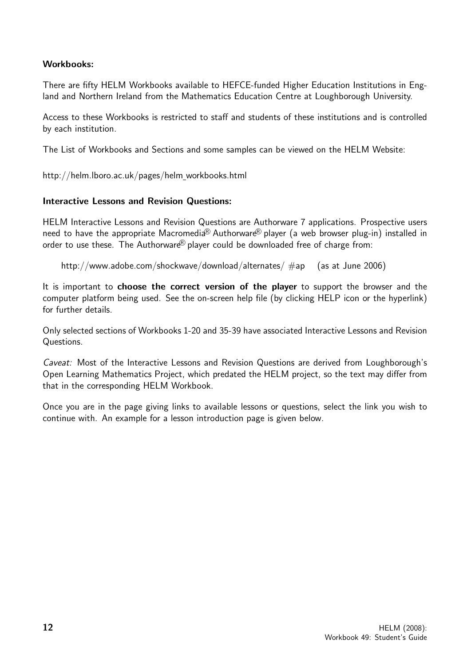#### Workbooks:

There are fifty HELM Workbooks available to HEFCE-funded Higher Education Institutions in England and Northern Ireland from the Mathematics Education Centre at Loughborough University.

Access to these Workbooks is restricted to staff and students of these institutions and is controlled by each institution.

The List of Workbooks and Sections and some samples can be viewed on the HELM Website:

http://helm.lboro.ac.uk/pages/helm workbooks.html

#### Interactive Lessons and Revision Questions:

HELM Interactive Lessons and Revision Questions are Authorware 7 applications. Prospective users need to have the appropriate Macromedia<sup>®</sup> Authorware<sup>®</sup> player (a web browser plug-in) installed in order to use these. The Authorware $\mathbb B$  player could be downloaded free of charge from:

http://www.adobe.com/shockwave/download/alternates/ #ap (as at June 2006)

It is important to choose the correct version of the player to support the browser and the computer platform being used. See the on-screen help file (by clicking HELP icon or the hyperlink) for further details.

Only selected sections of Workbooks 1-20 and 35-39 have associated Interactive Lessons and Revision Questions.

Caveat: Most of the Interactive Lessons and Revision Questions are derived from Loughborough's Open Learning Mathematics Project, which predated the HELM project, so the text may differ from that in the corresponding HELM Workbook.

Once you are in the page giving links to available lessons or questions, select the link you wish to continue with. An example for a lesson introduction page is given below.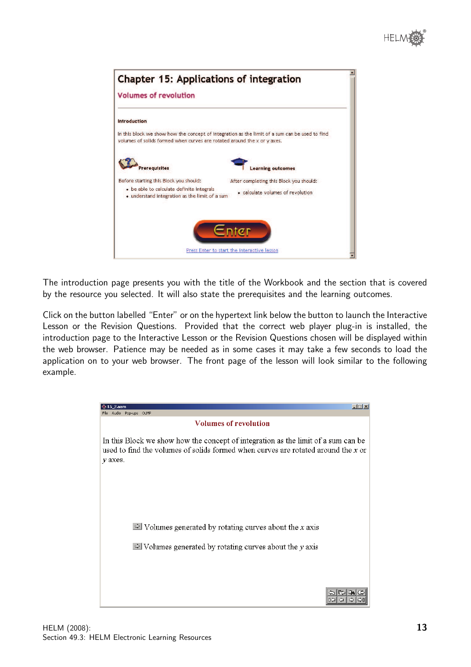

| <b>Chapter 15: Applications of integration</b>                                                                                                                             |  |
|----------------------------------------------------------------------------------------------------------------------------------------------------------------------------|--|
| <b>Volumes of revolution</b>                                                                                                                                               |  |
| <b>Introduction</b>                                                                                                                                                        |  |
| In this block we show how the concept of integration as the limit of a sum can be used to find<br>volumes of solids formed when curves are rotated around the x or y axes. |  |
| <b>rerequisites</b><br>arning outcomes                                                                                                                                     |  |
| Before starting this Block you should:<br>After completing this Block you should:                                                                                          |  |
| • be able to calculate definite integrals<br>• calculate volumes of revolution<br>• understand integration as the limit of a sum                                           |  |
|                                                                                                                                                                            |  |
| Press Enter to start the interactive lesson                                                                                                                                |  |

The introduction page presents you with the title of the Workbook and the section that is covered by the resource you selected. It will also state the prerequisites and the learning outcomes.

Click on the button labelled "Enter" or on the hypertext link below the button to launch the Interactive Lesson or the Revision Questions. Provided that the correct web player plug-in is installed, the introduction page to the Interactive Lesson or the Revision Questions chosen will be displayed within the web browser. Patience may be needed as in some cases it may take a few seconds to load the application on to your web browser. The front page of the lesson will look similar to the following example.

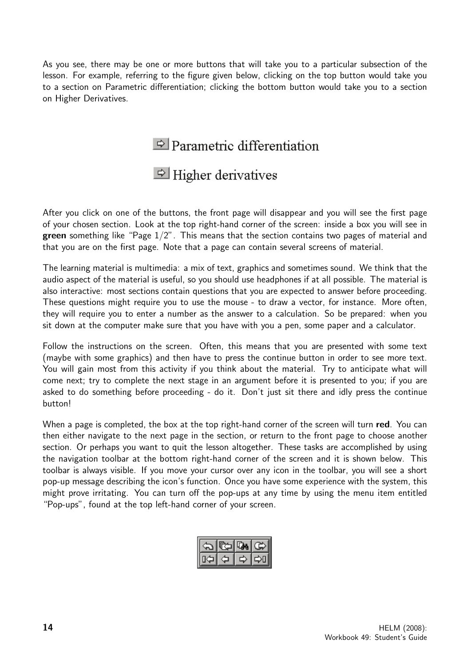As you see, there may be one or more buttons that will take you to a particular subsection of the lesson. For example, referring to the figure given below, clicking on the top button would take you to a section on Parametric differentiation; clicking the bottom button would take you to a section on Higher Derivatives.

 $\Rightarrow$  Parametric differentiation

## $\triangle$  Higher derivatives

After you click on one of the buttons, the front page will disappear and you will see the first page of your chosen section. Look at the top right-hand corner of the screen: inside a box you will see in green something like "Page  $1/2$ ". This means that the section contains two pages of material and that you are on the first page. Note that a page can contain several screens of material.

The learning material is multimedia: a mix of text, graphics and sometimes sound. We think that the audio aspect of the material is useful, so you should use headphones if at all possible. The material is also interactive: most sections contain questions that you are expected to answer before proceeding. These questions might require you to use the mouse - to draw a vector, for instance. More often, they will require you to enter a number as the answer to a calculation. So be prepared: when you sit down at the computer make sure that you have with you a pen, some paper and a calculator.

Follow the instructions on the screen. Often, this means that you are presented with some text (maybe with some graphics) and then have to press the continue button in order to see more text. You will gain most from this activity if you think about the material. Try to anticipate what will come next; try to complete the next stage in an argument before it is presented to you; if you are asked to do something before proceeding - do it. Don't just sit there and idly press the continue button!

When a page is completed, the box at the top right-hand corner of the screen will turn red. You can then either navigate to the next page in the section, or return to the front page to choose another section. Or perhaps you want to quit the lesson altogether. These tasks are accomplished by using the navigation toolbar at the bottom right-hand corner of the screen and it is shown below. This toolbar is always visible. If you move your cursor over any icon in the toolbar, you will see a short pop-up message describing the icon's function. Once you have some experience with the system, this might prove irritating. You can turn off the pop-ups at any time by using the menu item entitled "Pop-ups", found at the top left-hand corner of your screen.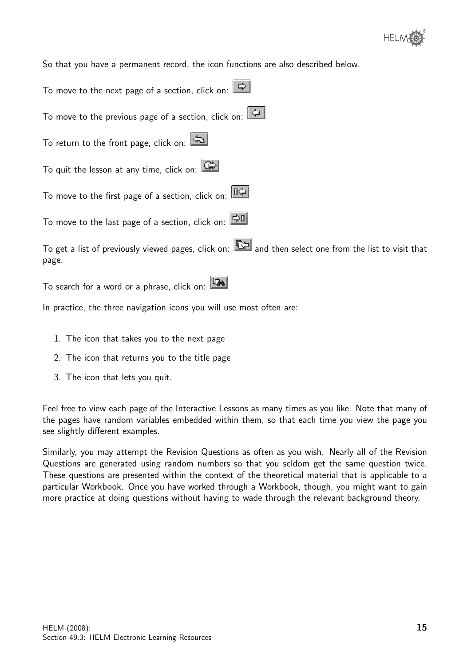

So that you have a permanent record, the icon functions are also described below.

| To move to the next page of a section, click on: $\boxed{\Rightarrow}$                                                                                                                                                               |
|--------------------------------------------------------------------------------------------------------------------------------------------------------------------------------------------------------------------------------------|
| To move to the previous page of a section, click on: $\boxed{\triangle}$                                                                                                                                                             |
| To return to the front page, click on: $\boxed{\triangle}$                                                                                                                                                                           |
| To quit the lesson at any time, click on: $\boxed{\mathbb{G}^3}$                                                                                                                                                                     |
| To move to the first page of a section, click on: $\boxed{ \mathbb{R}^2 }$                                                                                                                                                           |
| To move to the last page of a section, click on: $ \mathcal{\triangle}0 $                                                                                                                                                            |
| To get a list of previously viewed pages, click on: $\mathbb{R}$ and then select one from the list to visit that<br>page.                                                                                                            |
| <b>The Contract of the Contract of the Contract of the Contract of the Contract of the Contract of the Contract of the Contract of the Contract of The Contract of The Contract of The Contract of The Contract of The Contract </b> |

To search for a word or a phrase, click on: [148]

In practice, the three navigation icons you will use most often are:

- 1. The icon that takes you to the next page
- 2. The icon that returns you to the title page
- 3. The icon that lets you quit.

Feel free to view each page of the Interactive Lessons as many times as you like. Note that many of the pages have random variables embedded within them, so that each time you view the page you see slightly different examples.

Similarly, you may attempt the Revision Questions as often as you wish. Nearly all of the Revision Questions are generated using random numbers so that you seldom get the same question twice. These questions are presented within the context of the theoretical material that is applicable to a particular Workbook. Once you have worked through a Workbook, though, you might want to gain more practice at doing questions without having to wade through the relevant background theory.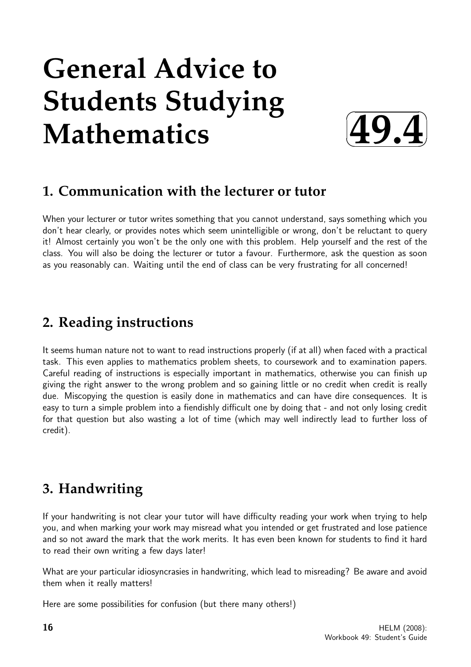# **General Advice to Students Studying Mathematics**



## **1. Communication with the lecturer or tutor**

When your lecturer or tutor writes something that you cannot understand, says something which you don't hear clearly, or provides notes which seem unintelligible or wrong, don't be reluctant to query it! Almost certainly you won't be the only one with this problem. Help yourself and the rest of the class. You will also be doing the lecturer or tutor a favour. Furthermore, ask the question as soon as you reasonably can. Waiting until the end of class can be very frustrating for all concerned!

## **2. Reading instructions**

It seems human nature not to want to read instructions properly (if at all) when faced with a practical task. This even applies to mathematics problem sheets, to coursework and to examination papers. Careful reading of instructions is especially important in mathematics, otherwise you can finish up giving the right answer to the wrong problem and so gaining little or no credit when credit is really due. Miscopying the question is easily done in mathematics and can have dire consequences. It is easy to turn a simple problem into a fiendishly difficult one by doing that - and not only losing credit for that question but also wasting a lot of time (which may well indirectly lead to further loss of credit).

# **3. Handwriting**

If your handwriting is not clear your tutor will have difficulty reading your work when trying to help you, and when marking your work may misread what you intended or get frustrated and lose patience and so not award the mark that the work merits. It has even been known for students to find it hard to read their own writing a few days later!

What are your particular idiosyncrasies in handwriting, which lead to misreading? Be aware and avoid them when it really matters!

Here are some possibilities for confusion (but there many others!)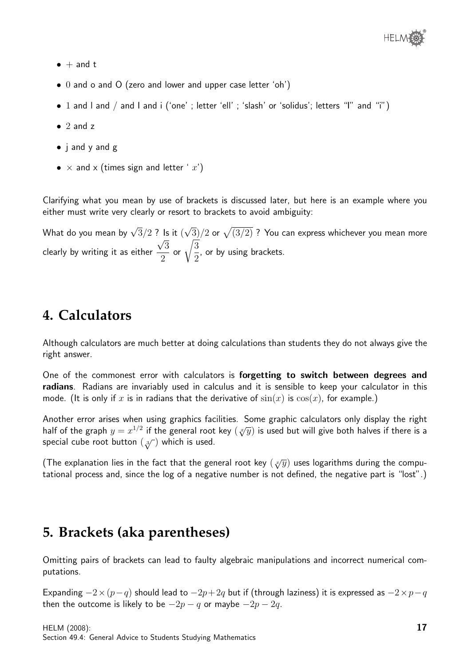- $\bullet$  + and t
- 0 and o and O (zero and lower and upper case letter 'oh')
- 1 and I and / and I and i ('one'; letter 'ell'; 'slash' or 'solidus'; letters "I" and "i")
- $\bullet$  2 and z
- j and y and g
- $\times$  and  $\times$  (times sign and letter ' x')

Clarifying what you mean by use of brackets is discussed later, but here is an example where you either must write very clearly or resort to brackets to avoid ambiguity:

What do you mean by  $\sqrt{3}/2$  ? Is it ( √ ? Is it  $(\sqrt{3})/2$  or  $\sqrt{(3/2)}$  ? You can express whichever you mean more clearly by writing it as either 3 2 or  $\sqrt{\frac{3}{2}}$ 2 , or by using brackets.

## **4. Calculators**

Although calculators are much better at doing calculations than students they do not always give the right answer.

One of the commonest error with calculators is forgetting to switch between degrees and radians. Radians are invariably used in calculus and it is sensible to keep your calculator in this mode. (It is only if x is in radians that the derivative of  $sin(x)$  is  $cos(x)$ , for example.)

Another error arises when using graphics facilities. Some graphic calculators only display the right Another error arises when using graphics racinties. Some graphic calculators only display the right half of the graph  $y = x^{1/2}$  if the general root key  $(\sqrt[n]{y})$  is used but will give both halves if there is a special cube root button  $\left(\sqrt[3]{}\right)$  which is used.

(The explanation lies in the fact that the general root key  $(\sqrt[x]{y})$  uses logarithms during the computational process and, since the log of a negative number is not defined, the negative part is "lost".)

## **5. Brackets (aka parentheses)**

Omitting pairs of brackets can lead to faulty algebraic manipulations and incorrect numerical computations.

Expanding  $-2\times(p-q)$  should lead to  $-2p+2q$  but if (through laziness) it is expressed as  $-2\times p-q$ then the outcome is likely to be  $-2p - q$  or maybe  $-2p - 2q$ .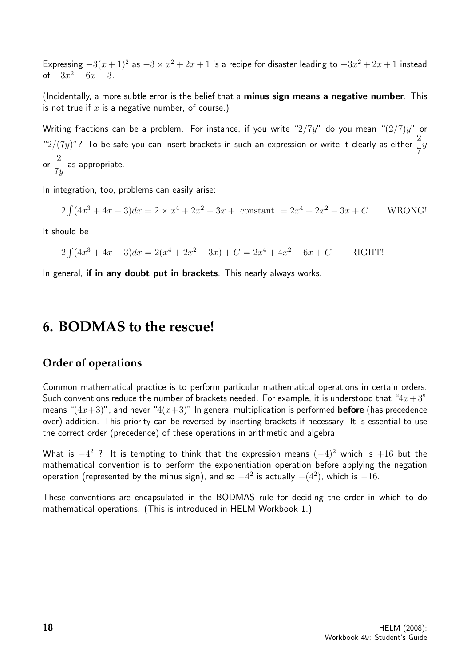Expressing  $-3(x+1)^2$  as  $-3 \times x^2 + 2x + 1$  is a recipe for disaster leading to  $-3x^2 + 2x + 1$  instead of  $-3x^2 - 6x - 3$ .

(Incidentally, a more subtle error is the belief that a minus sign means a negative number. This is not true if  $x$  is a negative number, of course.)

Writing fractions can be a problem. For instance, if you write " $2/7y$ " do you mean " $(2/7)y$ " or "2/(7y)"? To be safe you can insert brackets in such an expression or write it clearly as either  $\frac{2}{5}$ 7  $\hat{y}$ or 2 7y as appropriate.

In integration, too, problems can easily arise:

$$
2\int (4x^3 + 4x - 3)dx = 2 \times x^4 + 2x^2 - 3x + \text{ constant} = 2x^4 + 2x^2 - 3x + C \quad \text{WRONG!}
$$

It should be

$$
2\int (4x^3 + 4x - 3)dx = 2(x^4 + 2x^2 - 3x) + C = 2x^4 + 4x^2 - 6x + C
$$
 RIGHT!

In general, if in any doubt put in brackets. This nearly always works.

### **6. BODMAS to the rescue!**

#### **Order of operations**

Common mathematical practice is to perform particular mathematical operations in certain orders. Such conventions reduce the number of brackets needed. For example, it is understood that " $4x+3$ " means " $(4x+3)$ ", and never " $4(x+3)$ " In general multiplication is performed **before** (has precedence over) addition. This priority can be reversed by inserting brackets if necessary. It is essential to use the correct order (precedence) of these operations in arithmetic and algebra.

What is  $-4^2$  ? It is tempting to think that the expression means  $(-4)^2$  which is  $+16$  but the mathematical convention is to perform the exponentiation operation before applying the negation operation (represented by the minus sign), and so  $-4^2$  is actually  $-(4^2)$ , which is  $-16$ .

These conventions are encapsulated in the BODMAS rule for deciding the order in which to do mathematical operations. (This is introduced in HELM Workbook 1.)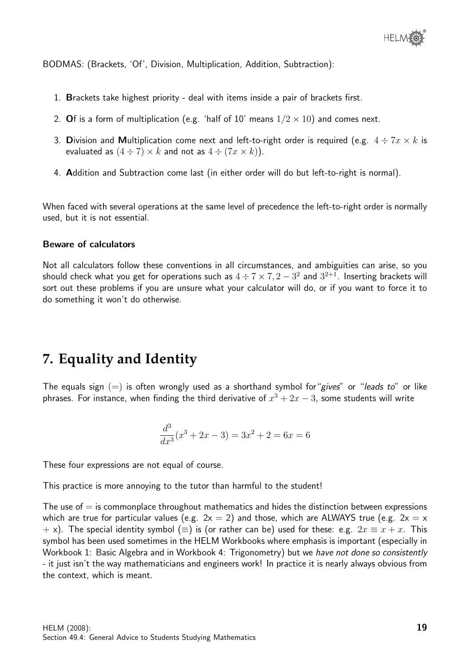BODMAS: (Brackets, 'Of', Division, Multiplication, Addition, Subtraction):

- 1. Brackets take highest priority deal with items inside a pair of brackets first.
- 2. Of is a form of multiplication (e.g. 'half of 10' means  $1/2 \times 10$ ) and comes next.
- 3. Division and Multiplication come next and left-to-right order is required (e.g.  $4 \div 7x \times k$  is evaluated as  $(4 \div 7) \times k$  and not as  $4 \div (7x \times k)$ ).
- 4. Addition and Subtraction come last (in either order will do but left-to-right is normal).

When faced with several operations at the same level of precedence the left-to-right order is normally used, but it is not essential.

#### Beware of calculators

Not all calculators follow these conventions in all circumstances, and ambiguities can arise, so you should check what you get for operations such as  $4\div 7\times 7, 2-3^2$  and  $3^{2+1}.$  Inserting brackets will sort out these problems if you are unsure what your calculator will do, or if you want to force it to do something it won't do otherwise.

## **7. Equality and Identity**

The equals sign  $(=)$  is often wrongly used as a shorthand symbol for "gives" or "leads to" or like phrases. For instance, when finding the third derivative of  $x^3 + 2x - 3$ , some students will write

$$
\frac{d^3}{dx^3}(x^3+2x-3) = 3x^2+2 = 6x = 6
$$

These four expressions are not equal of course.

This practice is more annoying to the tutor than harmful to the student!

The use of  $=$  is commonplace throughout mathematics and hides the distinction between expressions which are true for particular values (e.g.  $2x = 2$ ) and those, which are ALWAYS true (e.g.  $2x = x$ + x). The special identity symbol ( $\equiv$ ) is (or rather can be) used for these: e.g.  $2x \equiv x + x$ . This symbol has been used sometimes in the HELM Workbooks where emphasis is important (especially in Workbook 1: Basic Algebra and in Workbook 4: Trigonometry) but we have not done so consistently - it just isn't the way mathematicians and engineers work! In practice it is nearly always obvious from the context, which is meant.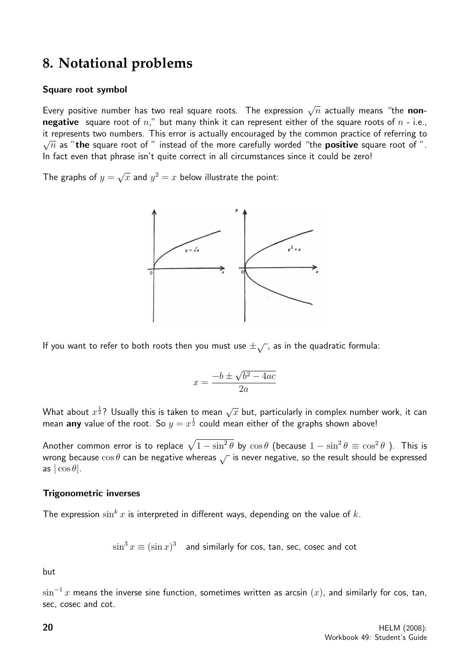## **8. Notational problems**

#### Square root symbol

Every positive number has two real square roots. The expression  $\sqrt{n}$  actually means "the **non**negative square root of  $n''$ , but many think it can represent either of the square roots of  $n - i.e.,$ it represents two numbers. This error is actually encouraged by the common practice of referring to a metal of the common practice of referring to a metal of the common practice of referring to  $\zeta$ .  $\sqrt{n}$  as "the square root of " instead of the more carefully worded "the **positive** square root of ". In fact even that phrase isn't quite correct in all circumstances since it could be zero!

The graphs of  $y=$ √  $\overline{x}$  and  $y^2=x$  below illustrate the point:



If you want to refer to both roots then you must use  $\pm \sqrt{ }$ , as in the quadratic formula:

$$
x = \frac{-b \pm \sqrt{b^2 - 4ac}}{2a}
$$

What about  $x^{\frac{1}{2}}$ ? Usually this is taken to mean  $\sqrt{x}$  but, particularly in complex number work, it can mean any value of the root. So  $y=x^{\frac{1}{2}}$  could mean either of the graphs shown above!

Another common error is to replace  $\sqrt{1-\sin^2\theta}$  by  $\cos\theta$  (because  $1-\sin^2\theta\equiv\cos^2\theta$  ). This is wrong because  $\cos \theta$  can be negative whereas  $\sqrt{\ }$  is never negative, so the result should be expressed as  $|\cos \theta|$ .

#### Trigonometric inverses

The expression  $\sin^k x$  is interpreted in different ways, depending on the value of k.

 $\sin^3 x \equiv (\sin x)^3$  and similarly for cos, tan, sec, cosec and cot

but

 $\sin^{-1} x$  means the inverse sine function, sometimes written as arcsin  $(x)$ , and similarly for cos, tan, sec, cosec and cot.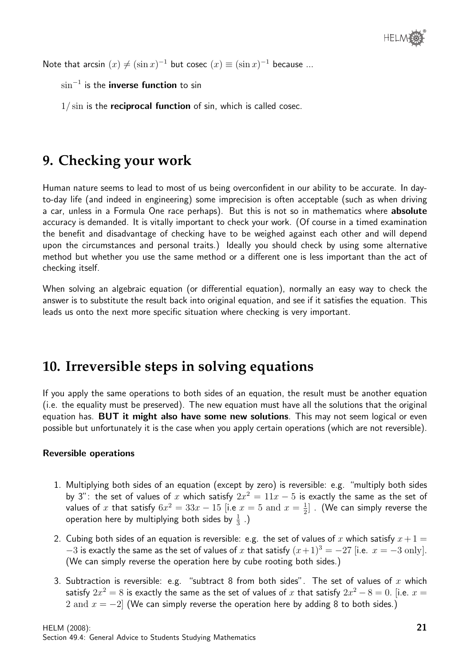Note that arcsin  $(x) \neq (\sin x)^{-1}$  but cosec  $(x) \equiv (\sin x)^{-1}$  because ...

 $\sin^{-1}$  is the **inverse function** to sin

 $1/\sin$  is the reciprocal function of sin, which is called cosec.

## **9. Checking your work**

Human nature seems to lead to most of us being overconfident in our ability to be accurate. In dayto-day life (and indeed in engineering) some imprecision is often acceptable (such as when driving a car, unless in a Formula One race perhaps). But this is not so in mathematics where **absolute** accuracy is demanded. It is vitally important to check your work. (Of course in a timed examination the benefit and disadvantage of checking have to be weighed against each other and will depend upon the circumstances and personal traits.) Ideally you should check by using some alternative method but whether you use the same method or a different one is less important than the act of checking itself.

When solving an algebraic equation (or differential equation), normally an easy way to check the answer is to substitute the result back into original equation, and see if it satisfies the equation. This leads us onto the next more specific situation where checking is very important.

## **10. Irreversible steps in solving equations**

If you apply the same operations to both sides of an equation, the result must be another equation (i.e. the equality must be preserved). The new equation must have all the solutions that the original equation has. **BUT it might also have some new solutions**. This may not seem logical or even possible but unfortunately it is the case when you apply certain operations (which are not reversible).

#### Reversible operations

- 1. Multiplying both sides of an equation (except by zero) is reversible: e.g. "multiply both sides by 3": the set of values of x which satisfy  $2x^2 = 11x - 5$  is exactly the same as the set of values of x that satisfy  $6x^2 = 33x - 15$  [i.e  $x = 5$  and  $x = \frac{1}{2}$  $\frac{1}{2}$ ] . (We can simply reverse the operation here by multiplying both sides by  $\frac{1}{3}$  .)
- 2. Cubing both sides of an equation is reversible: e.g. the set of values of x which satisfy  $x+1=$  $-3$  is exactly the same as the set of values of x that satisfy  $(x+1)^3 = -27$  [i.e.  $x = -3$  only]. (We can simply reverse the operation here by cube rooting both sides.)
- 3. Subtraction is reversible: e.g. "subtract 8 from both sides". The set of values of x which satisfy  $2x^2=8$  is exactly the same as the set of values of  $x$  that satisfy  $2x^2-8=0.$  [i.e.  $x=$ 2 and  $x = -2$  (We can simply reverse the operation here by adding 8 to both sides.)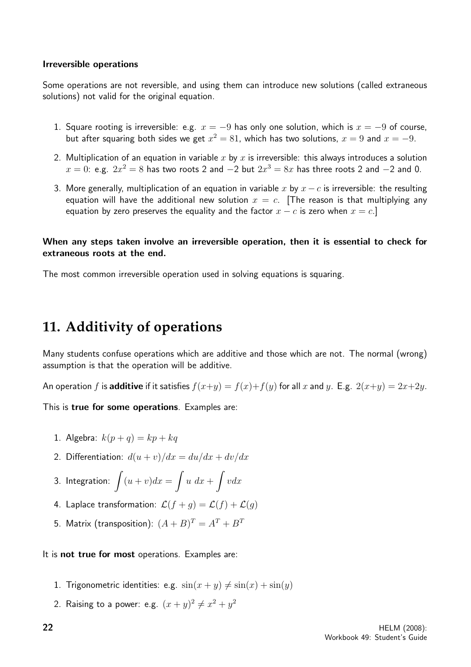#### Irreversible operations

Some operations are not reversible, and using them can introduce new solutions (called extraneous solutions) not valid for the original equation.

- 1. Square rooting is irreversible: e.g.  $x = -9$  has only one solution, which is  $x = -9$  of course, but after squaring both sides we get  $x^2 = 81$ , which has two solutions,  $x = 9$  and  $x = -9$ .
- 2. Multiplication of an equation in variable x by x is irreversible: this always introduces a solution  $x=0$ : e.g.  $2x^2=8$  has two roots 2 and  $-2$  but  $2x^3=8x$  has three roots 2 and  $-2$  and 0.
- 3. More generally, multiplication of an equation in variable x by  $x c$  is irreversible: the resulting equation will have the additional new solution  $x = c$ . [The reason is that multiplying any equation by zero preserves the equality and the factor  $x - c$  is zero when  $x = c$ .]

#### When any steps taken involve an irreversible operation, then it is essential to check for extraneous roots at the end.

The most common irreversible operation used in solving equations is squaring.

## **11. Additivity of operations**

Many students confuse operations which are additive and those which are not. The normal (wrong) assumption is that the operation will be additive.

An operation f is **additive** if it satisfies  $f(x+y) = f(x)+f(y)$  for all x and y. E.g.  $2(x+y) = 2x+2y$ .

This is true for some operations. Examples are:

- 1. Algebra:  $k(p+q) = kp + kq$
- 2. Differentiation:  $d(u + v)/dx = du/dx + dv/dx$

3. Integration: 
$$
\int (u+v)dx = \int u\ dx + \int vdx
$$

- 4. Laplace transformation:  $\mathcal{L}(f+g) = \mathcal{L}(f) + \mathcal{L}(g)$
- 5. Matrix (transposition):  $(A + B)^T = A^T + B^T$

It is not true for most operations. Examples are:

- 1. Trigonometric identities: e.g.  $sin(x + y) \neq sin(x) + sin(y)$
- 2. Raising to a power: e.g.  $(x+y)^2 \neq x^2+y^2$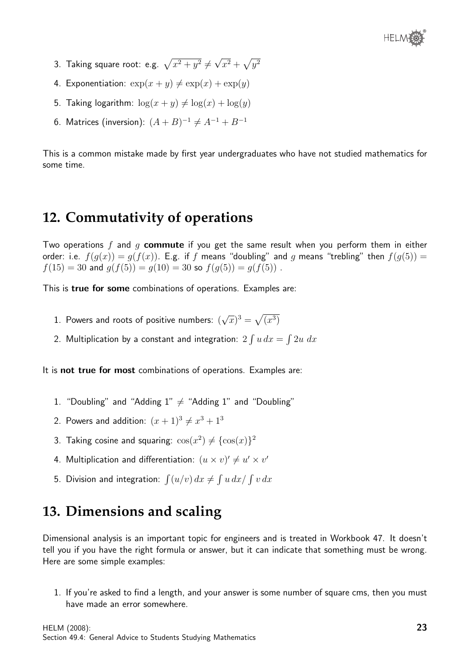- 3. Taking square root: e.g.  $\sqrt{x^2 + y^2} \neq 0$ √  $\overline{x^2} + \sqrt{y^2}$
- 4. Exponentiation:  $\exp(x+y) \neq \exp(x) + \exp(y)$
- 5. Taking logarithm:  $\log(x + y) \neq \log(x) + \log(y)$
- 6. Matrices (inversion):  $(A + B)^{-1} \neq A^{-1} + B^{-1}$

This is a common mistake made by first year undergraduates who have not studied mathematics for some time.

## **12. Commutativity of operations**

Two operations f and g commute if you get the same result when you perform them in either order: i.e.  $f(g(x)) = g(f(x))$ . E.g. if f means "doubling" and g means "trebling" then  $f(g(5)) =$  $f(15) = 30$  and  $g(f(5)) = g(10) = 30$  so  $f(g(5)) = g(f(5))$ .

This is true for some combinations of operations. Examples are:

- 1. Powers and roots of positive numbers: ( √  $(\overline{x})^3 = \sqrt{(x^3)}$
- 2. Multiplication by a constant and integration:  $2 \int u \, dx = \int 2u \, dx$

It is **not true for most** combinations of operations. Examples are:

- 1. "Doubling" and "Adding  $1" \neq$  "Adding 1" and "Doubling"
- 2. Powers and addition:  $(x+1)^3 \neq x^3+1^3$
- 3. Taking cosine and squaring:  $\cos(x^2) \neq {\cos(x)}^2$
- 4. Multiplication and differentiation:  $(u \times v)' \neq u' \times v'$
- 5. Division and integration:  $\int (u/v) \, dx \neq \int u \, dx / \int v \, dx$

## **13. Dimensions and scaling**

Dimensional analysis is an important topic for engineers and is treated in Workbook 47. It doesn't tell you if you have the right formula or answer, but it can indicate that something must be wrong. Here are some simple examples:

1. If you're asked to find a length, and your answer is some number of square cms, then you must have made an error somewhere.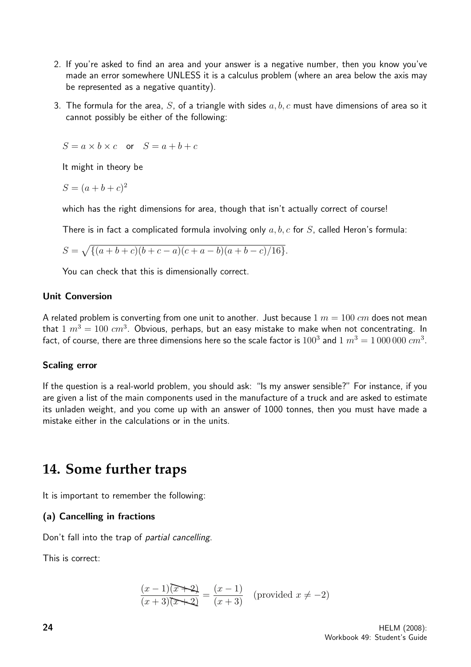- 2. If you're asked to find an area and your answer is a negative number, then you know you've made an error somewhere UNLESS it is a calculus problem (where an area below the axis may be represented as a negative quantity).
- 3. The formula for the area, S, of a triangle with sides  $a, b, c$  must have dimensions of area so it cannot possibly be either of the following:

$$
S = a \times b \times c \quad \text{or} \quad S = a+b+c
$$

It might in theory be

 $S = (a+b+c)^2$ 

which has the right dimensions for area, though that isn't actually correct of course!

There is in fact a complicated formula involving only  $a, b, c$  for  $S$ , called Heron's formula:

$$
S = \sqrt{\{(a+b+c)(b+c-a)(c+a-b)(a+b-c)/16\}}.
$$

You can check that this is dimensionally correct.

#### Unit Conversion

A related problem is converting from one unit to another. Just because  $1 m = 100 cm$  does not mean that  $1\;m^3=100\;cm^3.$  Obvious, perhaps, but an easy mistake to make when not concentrating. In fact, of course, there are three dimensions here so the scale factor is  $100^3$  and  $1\ m^3=1\,000\,000\ cm^3.$ 

#### Scaling error

If the question is a real-world problem, you should ask: "Is my answer sensible?" For instance, if you are given a list of the main components used in the manufacture of a truck and are asked to estimate its unladen weight, and you come up with an answer of 1000 tonnes, then you must have made a mistake either in the calculations or in the units.

### **14. Some further traps**

It is important to remember the following:

#### (a) Cancelling in fractions

Don't fall into the trap of partial cancelling.

This is correct:

$$
\frac{(x-1)(x+2)}{(x+3)(x+2)} = \frac{(x-1)}{(x+3)}
$$
 (provided  $x \neq -2$ )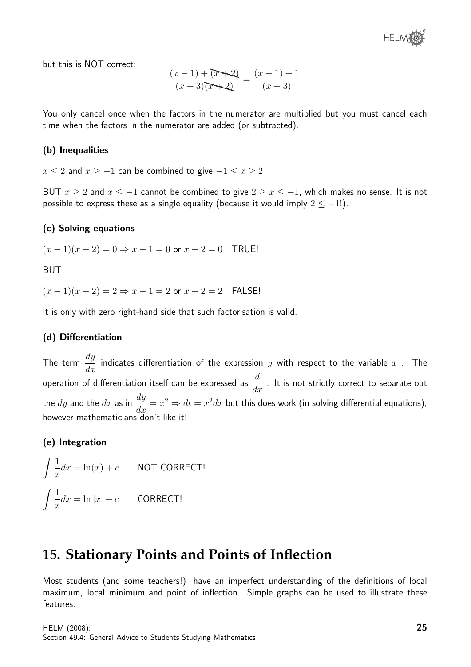but this is NOT correct:

$$
\frac{(x-1)+(\overline{x+2})}{(x+3)(\overline{x+2})} = \frac{(x-1)+1}{(x+3)}
$$

You only cancel once when the factors in the numerator are multiplied but you must cancel each time when the factors in the numerator are added (or subtracted).

#### (b) Inequalities

 $x \le 2$  and  $x \ge -1$  can be combined to give  $-1 \le x \ge 2$ 

BUT  $x \ge 2$  and  $x \le -1$  cannot be combined to give  $2 \ge x \le -1$ , which makes no sense. It is not possible to express these as a single equality (because it would imply  $2 \le -1$ !).

#### (c) Solving equations

 $(x - 1)(x - 2) = 0 \Rightarrow x - 1 = 0$  or  $x - 2 = 0$  TRUE!

BUT

 $(x - 1)(x - 2) = 2 \Rightarrow x - 1 = 2$  or  $x - 2 = 2$  FAISE!

It is only with zero right-hand side that such factorisation is valid.

#### (d) Differentiation

The term  $\frac{dy}{dx}$  $\frac{dy}{dx}$  indicates differentiation of the expression  $y$  with respect to the variable  $x$  . The operation of differentiation itself can be expressed as  $\frac{d}{d\theta}$  $\frac{a}{dx}$  . It is not strictly correct to separate out the  $dy$  and the  $dx$  as in  $\frac{dy}{dx}$  $\frac{dy}{dx} = x^2 \Rightarrow dt = x^2 dx$  but this does work (in solving differential equations), however mathematicians don't like it!

#### (e) Integration

$$
\int \frac{1}{x} dx = \ln(x) + c
$$
 NOT CORRECT!  

$$
\int \frac{1}{x} dx = \ln|x| + c
$$
 CORRECT!

## **15. Stationary Points and Points of Inflection**

Most students (and some teachers!) have an imperfect understanding of the definitions of local maximum, local minimum and point of inflection. Simple graphs can be used to illustrate these features.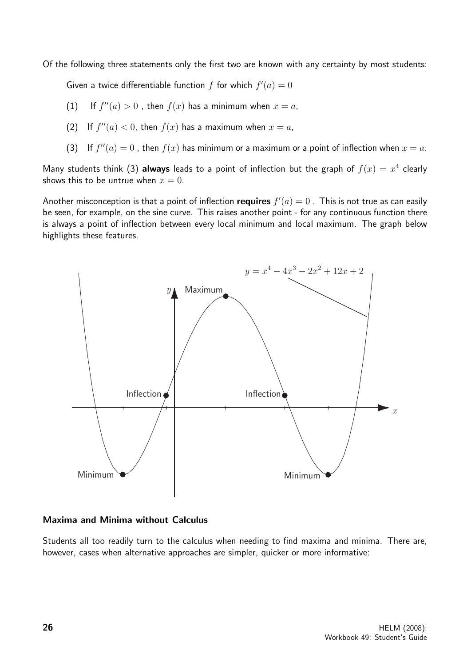Of the following three statements only the first two are known with any certainty by most students:

Given a twice differentiable function f for which  $f'(a) = 0$ 

- (1) If  $f''(a) > 0$ , then  $f(x)$  has a minimum when  $x = a$ ,
- (2) If  $f''(a) < 0$ , then  $f(x)$  has a maximum when  $x = a$ ,
- (3) If  $f''(a) = 0$ , then  $f(x)$  has minimum or a maximum or a point of inflection when  $x = a$ .

Many students think (3) always leads to a point of inflection but the graph of  $f(x) = x^4$  clearly shows this to be untrue when  $x = 0$ .

Another misconception is that a point of inflection requires  $f'(a) = 0$  . This is not true as can easily be seen, for example, on the sine curve. This raises another point - for any continuous function there is always a point of inflection between every local minimum and local maximum. The graph below highlights these features.



#### Maxima and Minima without Calculus

Students all too readily turn to the calculus when needing to find maxima and minima. There are, however, cases when alternative approaches are simpler, quicker or more informative: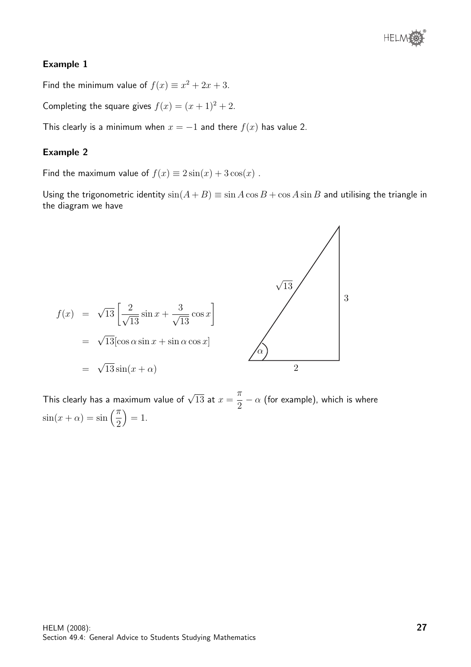

#### Example 1

Find the minimum value of  $f(x) \equiv x^2 + 2x + 3$ .

Completing the square gives  $f(x) = (x + 1)^2 + 2$ .

This clearly is a minimum when  $x = -1$  and there  $f(x)$  has value 2.

#### Example 2

Find the maximum value of  $f(x) \equiv 2\sin(x) + 3\cos(x)$ .

Using the trigonometric identity  $sin(A + B) \equiv sin A cos B + cos A sin B$  and utilising the triangle in the diagram we have



This clearly has a maximum value of  $\sqrt{13}$  at  $x=$  $\pi$ 2  $\alpha$  (for example), which is where  $\sin(x + \alpha) = \sin\left(\frac{\pi}{2}\right)$ 2  $= 1.$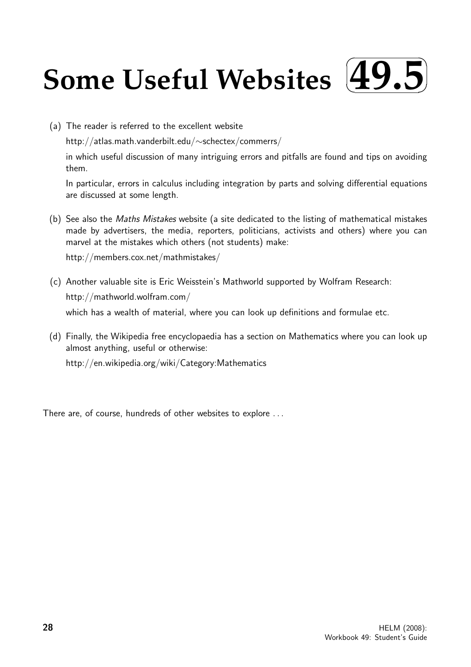#### **Some Useful Websites**  $\sqrt{2}$ ✒ **49.5**✑ ✏

(a) The reader is referred to the excellent website

http://atlas.math.vanderbilt.edu/∼schectex/commerrs/

in which useful discussion of many intriguing errors and pitfalls are found and tips on avoiding them.

In particular, errors in calculus including integration by parts and solving differential equations are discussed at some length.

(b) See also the Maths Mistakes website (a site dedicated to the listing of mathematical mistakes made by advertisers, the media, reporters, politicians, activists and others) where you can marvel at the mistakes which others (not students) make:

http://members.cox.net/mathmistakes/

- (c) Another valuable site is Eric Weisstein's Mathworld supported by Wolfram Research: http://mathworld.wolfram.com/ which has a wealth of material, where you can look up definitions and formulae etc.
- (d) Finally, the Wikipedia free encyclopaedia has a section on Mathematics where you can look up almost anything, useful or otherwise: http://en.wikipedia.org/wiki/Category:Mathematics

There are, of course, hundreds of other websites to explore . . .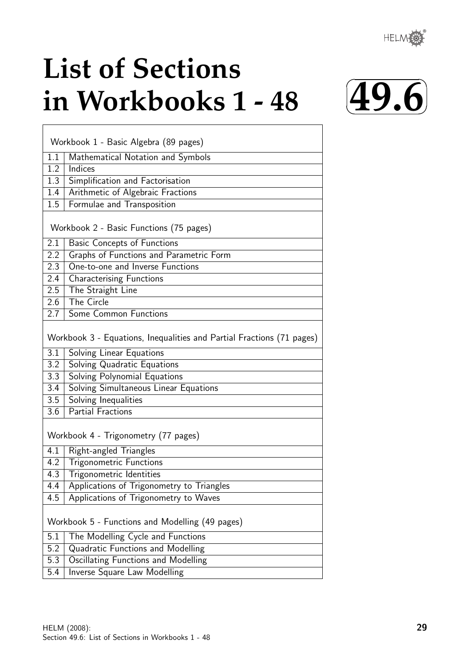® HELM

# **List of Sections in Workbooks 1 - 48**



| Workbook 1 - Basic Algebra (89 pages) |                                                                       |  |  |
|---------------------------------------|-----------------------------------------------------------------------|--|--|
| 1.1                                   | Mathematical Notation and Symbols                                     |  |  |
| 1.2                                   | Indices                                                               |  |  |
| 1.3                                   | Simplification and Factorisation                                      |  |  |
| 1.4                                   | Arithmetic of Algebraic Fractions                                     |  |  |
| 1.5                                   | Formulae and Transposition                                            |  |  |
|                                       | Workbook 2 - Basic Functions (75 pages)                               |  |  |
| 2.1                                   | <b>Basic Concepts of Functions</b>                                    |  |  |
| $2.2\overline{ }$                     | Graphs of Functions and Parametric Form                               |  |  |
| 2.3                                   | One-to-one and Inverse Functions                                      |  |  |
| 2.4                                   | <b>Characterising Functions</b>                                       |  |  |
| 2.5                                   | The Straight Line                                                     |  |  |
| $\overline{2.6}$                      | The Circle                                                            |  |  |
| 2.7                                   | Some Common Functions                                                 |  |  |
|                                       | Workbook 3 - Equations, Inequalities and Partial Fractions (71 pages) |  |  |
| 3.1                                   | Solving Linear Equations                                              |  |  |
| 3.2                                   | Solving Quadratic Equations                                           |  |  |
| 3.3                                   | Solving Polynomial Equations                                          |  |  |
| 3.4                                   | Solving Simultaneous Linear Equations                                 |  |  |
| 3.5                                   | Solving Inequalities                                                  |  |  |
| 3.6                                   | <b>Partial Fractions</b>                                              |  |  |
|                                       | Workbook 4 - Trigonometry (77 pages)                                  |  |  |
| 4.1                                   | Right-angled Triangles                                                |  |  |
| 4.2                                   | <b>Trigonometric Functions</b>                                        |  |  |
| 4.3                                   | Trigonometric Identities                                              |  |  |
| 4.4                                   | Applications of Trigonometry to Triangles                             |  |  |
| 4.5                                   | Applications of Trigonometry to Waves                                 |  |  |
|                                       | Workbook 5 - Functions and Modelling (49 pages)                       |  |  |
| 5.1                                   | The Modelling Cycle and Functions                                     |  |  |
| 5.2                                   | Quadratic Functions and Modelling                                     |  |  |
| 5.3                                   | Oscillating Functions and Modelling                                   |  |  |
| 5.4                                   | <b>Inverse Square Law Modelling</b>                                   |  |  |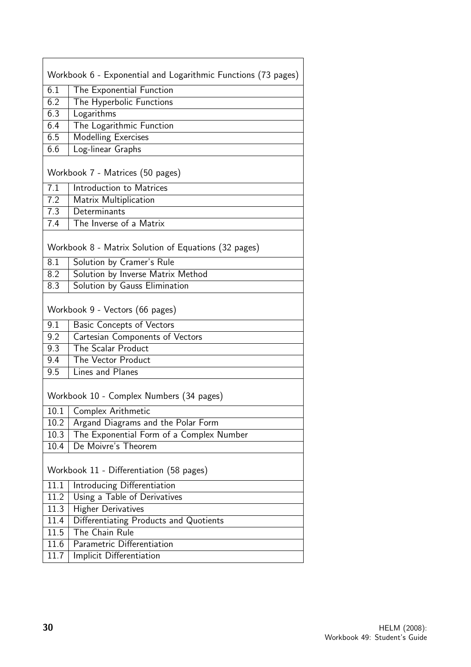| Workbook 6 - Exponential and Logarithmic Functions (73 pages) |                                                      |  |  |
|---------------------------------------------------------------|------------------------------------------------------|--|--|
| 6.1                                                           | The Exponential Function                             |  |  |
| 6.2                                                           | The Hyperbolic Functions                             |  |  |
| 6.3                                                           | Logarithms                                           |  |  |
| 6.4                                                           | The Logarithmic Function                             |  |  |
| 6.5                                                           | <b>Modelling Exercises</b>                           |  |  |
| 6.6                                                           | Log-linear Graphs                                    |  |  |
|                                                               | Workbook 7 - Matrices (50 pages)                     |  |  |
| 7.1                                                           | Introduction to Matrices                             |  |  |
| 7.2                                                           | Matrix Multiplication                                |  |  |
| 7.3                                                           | Determinants                                         |  |  |
| 7.4                                                           | The Inverse of a Matrix                              |  |  |
|                                                               | Workbook 8 - Matrix Solution of Equations (32 pages) |  |  |
| 8.1                                                           | Solution by Cramer's Rule                            |  |  |
| 8.2                                                           | Solution by Inverse Matrix Method                    |  |  |
| 8.3                                                           | Solution by Gauss Elimination                        |  |  |
|                                                               | Workbook 9 - Vectors (66 pages)                      |  |  |
| 9.1                                                           | <b>Basic Concepts of Vectors</b>                     |  |  |
| 9.2                                                           | Cartesian Components of Vectors                      |  |  |
| 9.3                                                           | The Scalar Product                                   |  |  |
| 9.4                                                           | The Vector Product                                   |  |  |
| 9.5                                                           | Lines and Planes                                     |  |  |
| Workbook 10 - Complex Numbers (34 pages)                      |                                                      |  |  |
| 10.1                                                          | Complex Arithmetic                                   |  |  |
| 10.2                                                          | Argand Diagrams and the Polar Form                   |  |  |
| 10.3                                                          | The Exponential Form of a Complex Number             |  |  |
| 10.4                                                          | De Moivre's Theorem                                  |  |  |
| Workbook 11 - Differentiation (58 pages)                      |                                                      |  |  |
| 11.1                                                          | Introducing Differentiation                          |  |  |
| 11.2                                                          | Using a Table of Derivatives                         |  |  |
| 11.3                                                          | <b>Higher Derivatives</b>                            |  |  |
| 11.4                                                          | Differentiating Products and Quotients               |  |  |
| 11.5                                                          | The Chain Rule                                       |  |  |
| 11.6                                                          | Parametric Differentiation                           |  |  |
| 11.7                                                          | Implicit Differentiation                             |  |  |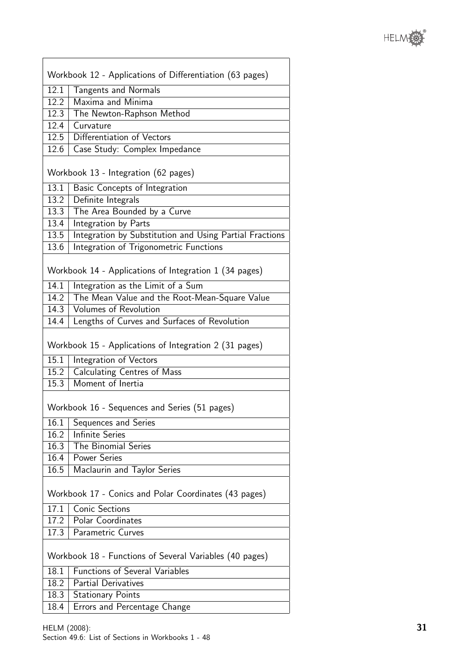$\overline{\phantom{a}}$ 

|                   | Workbook 12 - Applications of Differentiation (63 pages) |
|-------------------|----------------------------------------------------------|
| 12.1              | <b>Tangents and Normals</b>                              |
| 12.2              | Maxima and Minima                                        |
| $\overline{12.3}$ | The Newton-Raphson Method                                |
|                   | 12.4   Curvature                                         |
| $\overline{12.5}$ | Differentiation of Vectors                               |
| 12.6              | Case Study: Complex Impedance                            |
|                   |                                                          |
|                   | Workbook 13 - Integration (62 pages)                     |
| 13.1              | Basic Concepts of Integration                            |
| 13.2              | Definite Integrals                                       |
|                   | 13.3 The Area Bounded by a Curve                         |
| 13.4              | Integration by Parts                                     |
| 13.5              | Integration by Substitution and Using Partial Fractions  |
| 13.6              | Integration of Trigonometric Functions                   |
|                   |                                                          |
|                   | Workbook 14 - Applications of Integration 1 (34 pages)   |
| 14.1              | Integration as the Limit of a Sum                        |
|                   | 14.2 The Mean Value and the Root-Mean-Square Value       |
| 14.3              | <b>Volumes of Revolution</b>                             |
| 14.4              | Lengths of Curves and Surfaces of Revolution             |
| 15.1              | Workbook 15 - Applications of Integration 2 (31 pages)   |
|                   | Integration of Vectors                                   |
| 15.2<br>15.3      | <b>Calculating Centres of Mass</b><br>Moment of Inertia  |
|                   |                                                          |
|                   | Workbook 16 - Sequences and Series (51 pages)            |
| 16.1              | Sequences and Series                                     |
| 16.2              | <b>Infinite Series</b>                                   |
| 16.3              | The Binomial Series                                      |
| 16.4              | <b>Power Series</b>                                      |
| 16.5              | Maclaurin and Taylor Series                              |
|                   | Workbook 17 - Conics and Polar Coordinates (43 pages)    |
| 17.1              | <b>Conic Sections</b>                                    |
|                   | 17.2   Polar Coordinates                                 |
| 17.3              | <b>Parametric Curves</b>                                 |
|                   | Workbook 18 - Functions of Several Variables (40 pages)  |
| 18.1              | <b>Functions of Several Variables</b>                    |
| 18.2              | <b>Partial Derivatives</b>                               |
| 18.3              | <b>Stationary Points</b>                                 |
| 18.4              | Errors and Percentage Change                             |
|                   |                                                          |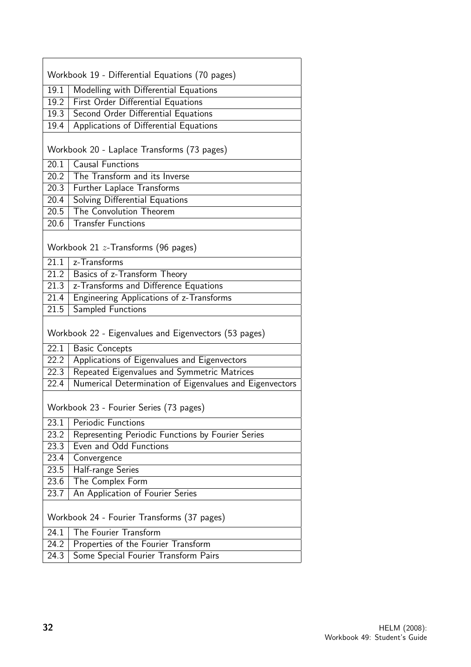|                   | Workbook 19 - Differential Equations (70 pages)         |
|-------------------|---------------------------------------------------------|
| 19.1              | Modelling with Differential Equations                   |
| 19.2              | <b>First Order Differential Equations</b>               |
| 19.3              | <b>Second Order Differential Equations</b>              |
| 19.4              | Applications of Differential Equations                  |
|                   |                                                         |
|                   | Workbook 20 - Laplace Transforms (73 pages)             |
|                   | 20.1   Causal Functions                                 |
| 20.2              | The Transform and its Inverse                           |
| 20.3              | Further Laplace Transforms                              |
| 20.4              | Solving Differential Equations                          |
| 20.5              | The Convolution Theorem                                 |
| 20.6              | <b>Transfer Functions</b>                               |
|                   | Workbook 21 $z$ -Transforms (96 pages)                  |
| 21.1              | z-Transforms                                            |
| $\overline{21.2}$ | Basics of z-Transform Theory                            |
| 21.3              | z-Transforms and Difference Equations                   |
| 21.4              | Engineering Applications of z-Transforms                |
| 21.5              | Sampled Functions                                       |
|                   | Workbook 22 - Eigenvalues and Eigenvectors (53 pages)   |
| 22.1              | <b>Basic Concepts</b>                                   |
| $\overline{22.2}$ | Applications of Eigenvalues and Eigenvectors            |
| 22.3              | Repeated Eigenvalues and Symmetric Matrices             |
| 22.4              | Numerical Determination of Eigenvalues and Eigenvectors |
|                   | Workbook 23 - Fourier Series (73 pages)                 |
| 23.1              | <b>Periodic Functions</b>                               |
| 23.2              | Representing Periodic Functions by Fourier Series       |
| 23.3              | Even and Odd Functions                                  |
| 23.4              | Convergence                                             |
| 23.5              | Half-range Series                                       |
| 23.6              | The Complex Form                                        |
| 23.7              | An Application of Fourier Series                        |
|                   | Workbook 24 - Fourier Transforms (37 pages)             |
| 24.1              | The Fourier Transform                                   |
| 24.2              | Properties of the Fourier Transform                     |
| 24.3              | Some Special Fourier Transform Pairs                    |

ł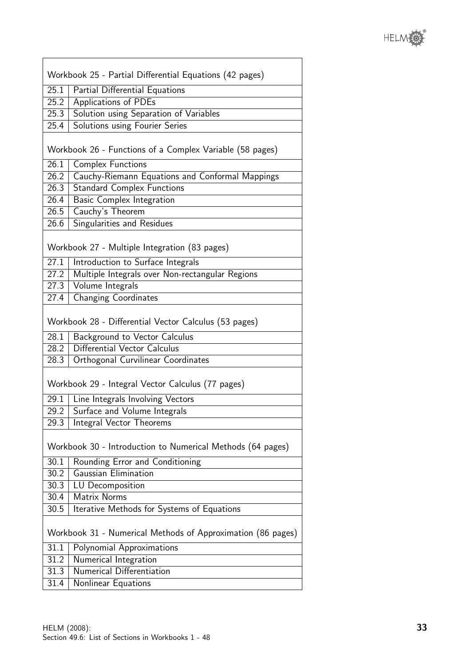

|                                                            | Workbook 25 - Partial Differential Equations (42 pages)     |  |
|------------------------------------------------------------|-------------------------------------------------------------|--|
| 25.1                                                       | Partial Differential Equations                              |  |
| 25.2                                                       | Applications of PDEs                                        |  |
| 25.3                                                       | Solution using Separation of Variables                      |  |
| 25.4                                                       | Solutions using Fourier Series                              |  |
|                                                            |                                                             |  |
|                                                            | Workbook 26 - Functions of a Complex Variable (58 pages)    |  |
| 26.1                                                       | <b>Complex Functions</b>                                    |  |
| 26.2                                                       | Cauchy-Riemann Equations and Conformal Mappings             |  |
| 26.3                                                       | <b>Standard Complex Functions</b>                           |  |
| 26.4                                                       | <b>Basic Complex Integration</b>                            |  |
| 26.5                                                       | Cauchy's Theorem                                            |  |
| 26.6                                                       | Singularities and Residues                                  |  |
|                                                            | Workbook 27 - Multiple Integration (83 pages)               |  |
| 27.1                                                       | Introduction to Surface Integrals                           |  |
| 27.2                                                       | Multiple Integrals over Non-rectangular Regions             |  |
| 27.3                                                       | Volume Integrals                                            |  |
| 27.4                                                       | <b>Changing Coordinates</b>                                 |  |
|                                                            | Workbook 28 - Differential Vector Calculus (53 pages)       |  |
| 28.1                                                       | Background to Vector Calculus                               |  |
| 28.2                                                       | Differential Vector Calculus                                |  |
| 28.3                                                       | Orthogonal Curvilinear Coordinates                          |  |
|                                                            | Workbook 29 - Integral Vector Calculus (77 pages)           |  |
| 29.1                                                       | Line Integrals Involving Vectors                            |  |
| 29.2                                                       | Surface and Volume Integrals                                |  |
| 29.3                                                       | Integral Vector Theorems                                    |  |
| Workbook 30 - Introduction to Numerical Methods (64 pages) |                                                             |  |
| 30.1                                                       | Rounding Error and Conditioning                             |  |
| 30.2                                                       | Gaussian Elimination                                        |  |
| 30.3                                                       | LU Decomposition                                            |  |
| 30.4                                                       | <b>Matrix Norms</b>                                         |  |
| 30.5                                                       | Iterative Methods for Systems of Equations                  |  |
|                                                            | Workbook 31 - Numerical Methods of Approximation (86 pages) |  |
| 31.1                                                       | Polynomial Approximations                                   |  |
| 31.2                                                       | Numerical Integration                                       |  |
| 31.3                                                       | <b>Numerical Differentiation</b>                            |  |
| 31.4                                                       | Nonlinear Equations                                         |  |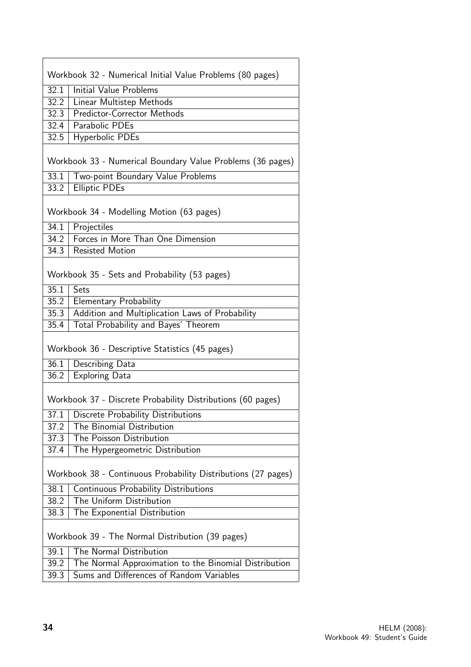|      | Workbook 32 - Numerical Initial Value Problems (80 pages)                                         |
|------|---------------------------------------------------------------------------------------------------|
| 32.1 | Initial Value Problems                                                                            |
| 32.2 | Linear Multistep Methods                                                                          |
| 32.3 | <b>Predictor-Corrector Methods</b>                                                                |
| 32.4 | Parabolic PDEs                                                                                    |
| 32.5 | Hyperbolic PDEs                                                                                   |
|      | Workbook 33 - Numerical Boundary Value Problems (36 pages)                                        |
| 33.1 | Two-point Boundary Value Problems                                                                 |
| 33.2 | <b>Elliptic PDEs</b>                                                                              |
|      | Workbook 34 - Modelling Motion (63 pages)                                                         |
| 34.1 | Projectiles                                                                                       |
| 34.2 | Forces in More Than One Dimension                                                                 |
| 34.3 | <b>Resisted Motion</b>                                                                            |
|      | Workbook 35 - Sets and Probability (53 pages)                                                     |
| 35.1 | Sets                                                                                              |
| 35.2 | <b>Elementary Probability</b>                                                                     |
| 35.3 | Addition and Multiplication Laws of Probability                                                   |
| 35.4 | Total Probability and Bayes' Theorem                                                              |
|      | Workbook 36 - Descriptive Statistics (45 pages)                                                   |
| 36.1 | Describing Data                                                                                   |
| 36.2 | <b>Exploring Data</b>                                                                             |
| 37.1 | Workbook 37 - Discrete Probability Distributions (60 pages)<br>Discrete Probability Distributions |
| 37.2 | The Binomial Distribution                                                                         |
| 37.3 | The Poisson Distribution                                                                          |
| 37.4 | The Hypergeometric Distribution                                                                   |
|      |                                                                                                   |
|      | Workbook 38 - Continuous Probability Distributions (27 pages)                                     |
| 38.1 | Continuous Probability Distributions                                                              |
| 38.2 | The Uniform Distribution                                                                          |
| 38.3 | The Exponential Distribution                                                                      |
|      | Workbook 39 - The Normal Distribution (39 pages)                                                  |
| 39.1 | The Normal Distribution                                                                           |
| 39.2 | The Normal Approximation to the Binomial Distribution                                             |
| 39.3 | Sums and Differences of Random Variables                                                          |

 $\overline{\phantom{a}}$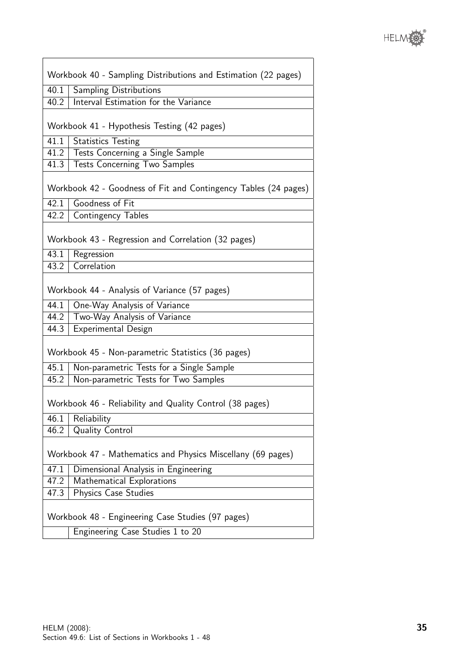

|      | Workbook 40 - Sampling Distributions and Estimation (22 pages)        |
|------|-----------------------------------------------------------------------|
|      |                                                                       |
| 40.1 | <b>Sampling Distributions</b><br>Interval Estimation for the Variance |
| 40.2 |                                                                       |
|      | Workbook 41 - Hypothesis Testing (42 pages)                           |
| 41.1 | <b>Statistics Testing</b>                                             |
| 41.2 | Tests Concerning a Single Sample                                      |
| 41.3 | <b>Tests Concerning Two Samples</b>                                   |
|      | Workbook 42 - Goodness of Fit and Contingency Tables (24 pages)       |
| 42.1 | Goodness of Fit                                                       |
| 42.2 | <b>Contingency Tables</b>                                             |
|      | Workbook 43 - Regression and Correlation (32 pages)                   |
| 43.1 | Regression                                                            |
| 43.2 | Correlation                                                           |
|      | Workbook 44 - Analysis of Variance (57 pages)                         |
| 44.1 | One-Way Analysis of Variance                                          |
| 44.2 | Two-Way Analysis of Variance                                          |
| 44.3 | Experimental Design                                                   |
|      | Workbook 45 - Non-parametric Statistics (36 pages)                    |
| 45.1 | Non-parametric Tests for a Single Sample                              |
| 45.2 | Non-parametric Tests for Two Samples                                  |
|      | Workbook 46 - Reliability and Quality Control (38 pages)              |
| 46.1 | Reliability                                                           |
| 46.2 | <b>Quality Control</b>                                                |
|      | Workbook 47 - Mathematics and Physics Miscellany (69 pages)           |
| 47.1 | Dimensional Analysis in Engineering                                   |
| 47.2 | Mathematical Explorations                                             |
| 47.3 | Physics Case Studies                                                  |
|      | Workbook 48 - Engineering Case Studies (97 pages)                     |
|      | Engineering Case Studies 1 to 20                                      |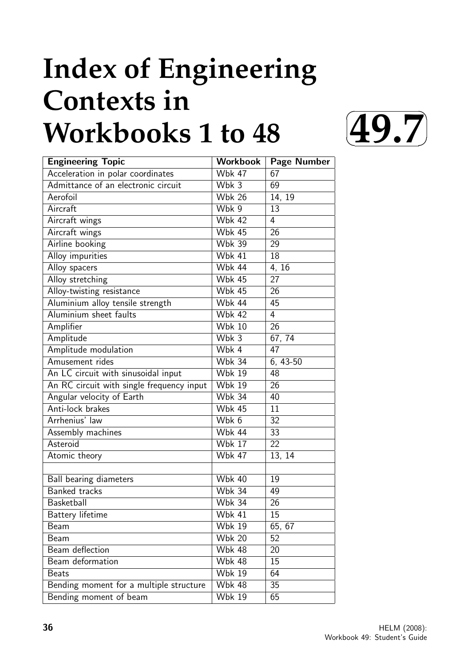# **Index of Engineering Contexts in Workbooks 1 to 48**



| <b>Engineering Topic</b>                  | <b>Workbook</b>             | <b>Page Number</b> |
|-------------------------------------------|-----------------------------|--------------------|
| Acceleration in polar coordinates         | <b>Wbk 47</b>               | 67                 |
| Admittance of an electronic circuit       | Wbk 3                       | 69                 |
| Aerofoil                                  | <b>Wbk 26</b>               | 14, 19             |
| Aircraft                                  | Wbk 9                       | 13                 |
| Aircraft wings                            | <b>Wbk 42</b>               | $\overline{4}$     |
| Aircraft wings                            | <b>Wbk 45</b>               | 26                 |
| Airline booking                           | <b>Wbk 39</b>               | 29                 |
| Alloy impurities                          | <b>Wbk 41</b>               | 18                 |
| Alloy spacers                             | <b>Wbk 44</b>               | 4, 16              |
| Alloy stretching                          | <b>Wbk 45</b>               | 27                 |
| Alloy-twisting resistance                 | <b>Wbk 45</b>               | 26                 |
| Aluminium alloy tensile strength          | <b>Wbk 44</b>               | 45                 |
| Aluminium sheet faults                    | <b>Wbk 42</b>               | 4                  |
| Amplifier                                 | <b>Wbk 10</b>               | 26                 |
| Amplitude                                 | Wbk 3                       | 67, 74             |
| Amplitude modulation                      | Wbk 4                       | 47                 |
| Amusement rides                           | Wbk $34$                    | 6, 43-50           |
| An LC circuit with sinusoidal input       | <b>Wbk 19</b>               | 48                 |
| An RC circuit with single frequency input | <b>Wbk 19</b>               | 26                 |
| Angular velocity of Earth                 | <b>Wbk 34</b>               | 40                 |
| Anti-lock brakes                          | <b>Wbk 45</b>               | 11                 |
| Arrhenius' law                            | Wbk 6                       | $\overline{32}$    |
| Assembly machines                         | Wbk 44                      | 33                 |
| Asteroid                                  | <b>Wbk 17</b>               | 22                 |
| Atomic theory                             | <b>Wbk 47</b>               | 13, 14             |
|                                           |                             |                    |
| Ball bearing diameters                    | <b>Wbk 40</b>               | 19                 |
| <b>Banked tracks</b>                      | $\overline{\text{W}}$ bk 34 | 49                 |
| Basketball                                | <b>Wbk 34</b>               | 26                 |
| Battery lifetime                          | <b>Wbk 41</b>               | 15                 |
| Beam                                      | <b>Wbk 19</b>               | 65, 67             |
| Beam                                      | <b>Wbk 20</b>               | 52                 |
| Beam deflection                           | <b>Wbk 48</b>               | 20                 |
| Beam deformation                          | <b>Wbk 48</b>               | 15                 |
| <b>Beats</b>                              | <b>Wbk 19</b>               | 64                 |
| Bending moment for a multiple structure   | <b>Wbk 48</b>               | 35                 |
| Bending moment of beam                    | <b>Wbk 19</b>               | 65                 |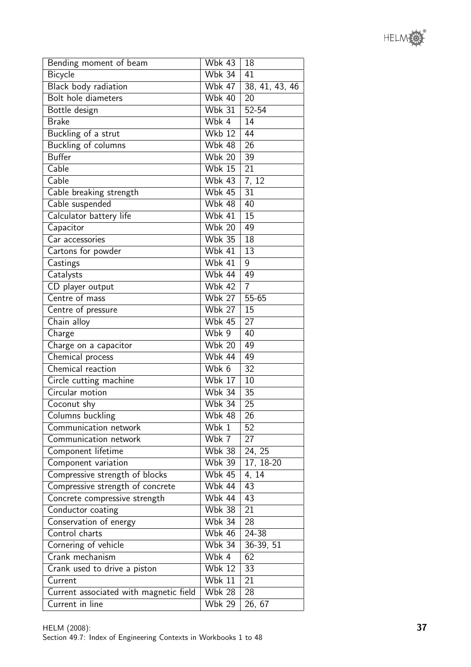

| Bending moment of beam                 | <b>Wbk 43</b>              | 18              |
|----------------------------------------|----------------------------|-----------------|
| Bicycle                                | <b>Wbk 34</b>              | 41              |
| Black body radiation                   | <b>Wbk 47</b>              | 38, 41, 43, 46  |
| Bolt hole diameters                    | <b>Wbk 40</b>              | 20              |
| Bottle design                          | Wbk $31$                   | 52-54           |
| <b>Brake</b>                           | Wbk 4                      | 14              |
| Buckling of a strut                    | <b>Wkb 12</b>              | 44              |
| Buckling of columns                    | <b>Wbk 48</b>              | 26              |
| <b>Buffer</b>                          | <b>Wbk 20</b>              | 39              |
| Cable                                  | <b>Wbk 15</b>              | 21              |
| Cable                                  | <b>Wbk 43</b>              | 7, 12           |
| Cable breaking strength                | <b>Wbk 45</b>              | 31              |
| Cable suspended                        | <b>Wbk 48</b>              | 40              |
| Calculator battery life                | <b>Wbk 41</b>              | 15              |
| Capacitor                              | <b>Wbk 20</b>              | 49              |
| Car accessories                        | <b>Wbk 35</b>              | $\overline{18}$ |
| Cartons for powder                     | <b>Wbk 41</b>              | 13              |
| Castings                               | <b>Wbk 41</b>              | 9               |
| Catalysts                              | <b>Wbk 44</b>              | 49              |
| CD player output                       | <b>Wbk 42</b>              | $\overline{7}$  |
| Centre of mass                         | <b>Wbk 27</b>              | $55 - 65$       |
| Centre of pressure                     | <b>Wbk 27</b>              | 15              |
| Chain alloy                            | <b>Wbk 45</b>              | 27              |
| Charge                                 | Wbk 9                      | 40              |
| Charge on a capacitor                  | $\overline{\text{Wbk}}$ 20 | 49              |
| Chemical process                       | Wbk 44                     | 49              |
| Chemical reaction                      | Wbk 6                      | 32              |
| Circle cutting machine                 | <b>Wbk 17</b>              | 10              |
| Circular motion                        | <b>Wbk 34</b>              | 35              |
| Coconut shy                            | <b>Wbk 34</b>              | $\overline{25}$ |
| Columns buckling                       | <b>Wbk 48</b>              | 26              |
| Communication network                  | Wbk 1                      | 52              |
| Communication network                  | Wbk 7                      | 27              |
| Component lifetime                     | <b>Wbk 38</b>              | 24, 25          |
| Component variation                    | <b>Wbk 39</b>              | 17, 18-20       |
| Compressive strength of blocks         | <b>Wbk 45</b>              | 4, 14           |
| Compressive strength of concrete       | <b>Wbk 44</b>              | 43              |
| Concrete compressive strength          | <b>Wbk 44</b>              | 43              |
| Conductor coating                      | <b>Wbk 38</b>              | $\overline{21}$ |
| Conservation of energy                 | <b>Wbk 34</b>              | 28              |
| Control charts                         | <b>Wbk 46</b>              | $24 - 38$       |
| Cornering of vehicle                   | <b>Wbk 34</b>              | 36-39, 51       |
| Crank mechanism                        | Wbk 4                      | 62              |
| Crank used to drive a piston           | <b>Wbk 12</b>              | 33              |
| Current                                | <b>Wbk 11</b>              | 21              |
| Current associated with magnetic field | <b>Wbk 28</b>              | 28              |
| Current in line                        | <b>Wbk 29</b>              | 26, 67          |
|                                        |                            |                 |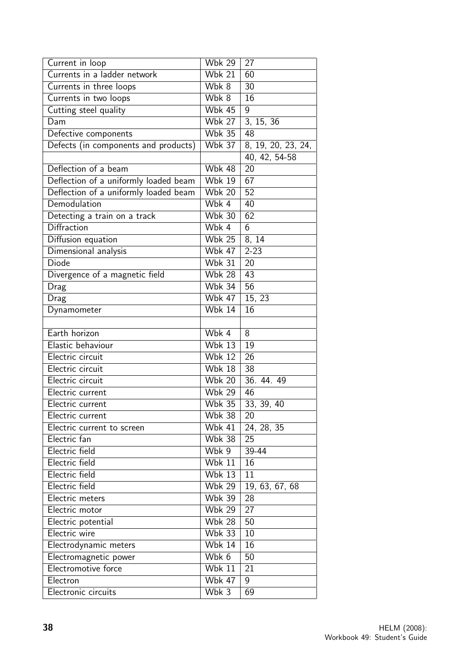| Current in loop                       | <b>Wbk 29</b>               | 27                 |
|---------------------------------------|-----------------------------|--------------------|
| Currents in a ladder network          | $W$ bk 21                   | 60                 |
| Currents in three loops               | Wbk 8                       | 30                 |
| Currents in two loops                 | Wbk 8                       | 16                 |
| Cutting steel quality                 | <b>Wbk 45</b>               | 9                  |
| Dam                                   | <b>Wbk 27</b>               | 3, 15, 36          |
| Defective components                  | $W$ bk 35                   | 48                 |
| Defects (in components and products)  | <b>Wbk 37</b>               | 8, 19, 20, 23, 24, |
|                                       |                             | 40, 42, 54-58      |
| Deflection of a beam                  | <b>Wbk 48</b>               | 20                 |
| Deflection of a uniformly loaded beam | <b>Wbk 19</b>               | 67                 |
| Deflection of a uniformly loaded beam | <b>Wbk 20</b>               | 52                 |
| Demodulation                          | Wbk 4                       | 40                 |
| Detecting a train on a track          | <b>Wbk 30</b>               | 62                 |
| Diffraction                           | Wbk 4                       | 6                  |
| Diffusion equation                    | <b>Wbk 25</b>               | 8, 14              |
| Dimensional analysis                  | <b>Wbk 47</b>               | $2 - 23$           |
| <b>Diode</b>                          | <b>Wbk 31</b>               | 20                 |
| Divergence of a magnetic field        | <b>Wbk 28</b>               | 43                 |
| Drag                                  | <b>Wbk 34</b>               | 56                 |
| Drag                                  | <b>Wbk 47</b>               | 15, 23             |
| Dynamometer                           | <b>Wbk 14</b>               | 16                 |
|                                       |                             |                    |
| Earth horizon                         | Wbk 4                       | 8                  |
| Elastic behaviour                     | <b>Wbk 13</b>               | 19                 |
| Electric circuit                      | Wbk $12$                    | 26                 |
| Electric circuit                      | <b>Wbk 18</b>               | 38                 |
| Electric circuit                      | <b>Wbk 20</b>               | 36.44.49           |
| Electric current                      | <b>Wbk 29</b>               | 46                 |
| Electric current                      | $\overline{\text{W}}$ bk 35 | 33, 39, 40         |
| Electric current                      | <b>Wbk 38</b>               | 20                 |
| Electric current to screen            | <b>Wbk 41</b>               | 24, 28, 35         |
| Electric fan                          | <b>Wbk 38</b>               | 25                 |
| Electric field                        | Wbk 9                       | 39-44              |
| Electric field                        | <b>Wbk 11</b>               | 16                 |
| Electric field                        | $\overline{\text{Wbk}}$ 13  | 11                 |
| Electric field                        | <b>Wbk 29</b>               | 19, 63, 67, 68     |
| Electric meters                       | <b>Wbk 39</b>               | 28                 |
| Electric motor                        | <b>Wbk 29</b>               | 27                 |
| Electric potential                    | <b>Wbk 28</b>               | 50                 |
| Electric wire                         | <b>Wbk 33</b>               | 10                 |
| Electrodynamic meters                 | <b>Wbk 14</b>               | 16                 |
| Electromagnetic power                 | Wbk 6                       | 50                 |
| Electromotive force                   | <b>Wbk 11</b>               | 21                 |
| Electron                              | <b>Wbk 47</b>               | 9                  |
| Electronic circuits                   | Wbk 3                       | 69                 |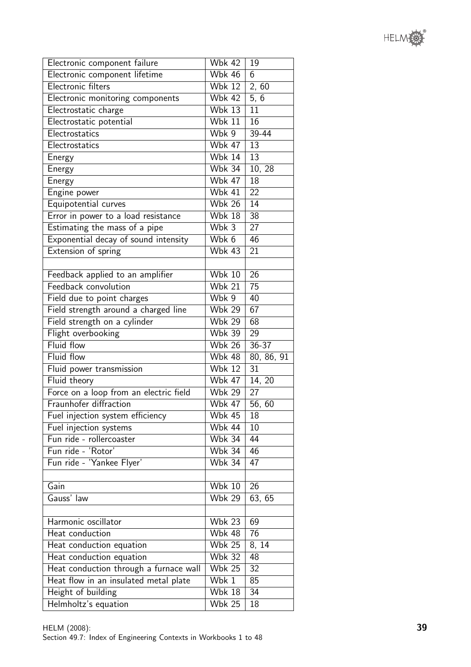

| Electronic component failure           | <b>Wbk 42</b> | 19              |
|----------------------------------------|---------------|-----------------|
| Electronic component lifetime          | <b>Wbk 46</b> | 6               |
| Electronic filters                     | <b>Wbk 12</b> | 2, 60           |
| Electronic monitoring components       | <b>Wbk 42</b> | 5, 6            |
| Electrostatic charge                   | <b>Wbk 13</b> | 11              |
| Electrostatic potential                | <b>Wbk 11</b> | 16              |
| Electrostatics                         | Wbk 9         | 39-44           |
| Electrostatics                         | <b>Wbk 47</b> | 13              |
| Energy                                 | <b>Wbk 14</b> | 13              |
| Energy                                 | <b>Wbk 34</b> | 10, 28          |
| Energy                                 | <b>Wbk 47</b> | $1\overline{8}$ |
| Engine power                           | <b>Wbk 41</b> | 22              |
| Equipotential curves                   | <b>Wbk 26</b> | 14              |
| Error in power to a load resistance    | Wbk $18$      | 38              |
| Estimating the mass of a pipe          | Wbk 3         | 27              |
| Exponential decay of sound intensity   | Wbk 6         | 46              |
| Extension of spring                    | <b>Wbk 43</b> | 21              |
|                                        |               |                 |
| Feedback applied to an amplifier       | <b>Wbk 10</b> | 26              |
| Feedback convolution                   | <b>Wbk 21</b> | 75              |
| Field due to point charges             | Wbk 9         | 40              |
| Field strength around a charged line   | <b>Wbk 29</b> | 67              |
| Field strength on a cylinder           | <b>Wbk 29</b> | 68              |
| Flight overbooking                     | <b>Wbk 39</b> | 29              |
| Fluid flow                             | <b>Wbk 26</b> | $36 - 37$       |
| <b>Fluid flow</b>                      | <b>Wbk 48</b> | 80, 86, 91      |
| Fluid power transmission               | <b>Wbk 12</b> | 31              |
| Fluid theory                           | <b>Wbk 47</b> | 14, 20          |
| Force on a loop from an electric field | <b>Wbk 29</b> | 27              |
| Fraunhofer diffraction                 | <b>Wbk 47</b> | 56,60           |
| Fuel injection system efficiency       | <b>Wbk 45</b> | 18              |
| Fuel injection systems                 | <b>Wbk 44</b> | 10              |
| Fun ride - rollercoaster               | <b>Wbk 34</b> | 44              |
| Fun ride - 'Rotor'                     | <b>Wbk 34</b> | 46              |
| Fun ride - 'Yankee Flyer'              | <b>Wbk 34</b> | 47              |
|                                        |               |                 |
| Gain                                   | <b>Wbk 10</b> | 26              |
| Gauss' law                             | <b>Wbk 29</b> | 63, 65          |
|                                        |               |                 |
| Harmonic oscillator                    | <b>Wbk 23</b> | 69              |
| Heat conduction                        | <b>Wbk 48</b> | 76              |
| Heat conduction equation               | <b>Wbk 25</b> | 8, 14           |
| Heat conduction equation               | <b>Wbk 32</b> | 48              |
| Heat conduction through a furnace wall | <b>Wbk 25</b> | 32              |
| Heat flow in an insulated metal plate  | Wbk 1         | 85              |
| Height of building                     | <b>Wbk 18</b> | 34              |
| Helmholtz's equation                   | <b>Wbk 25</b> | 18              |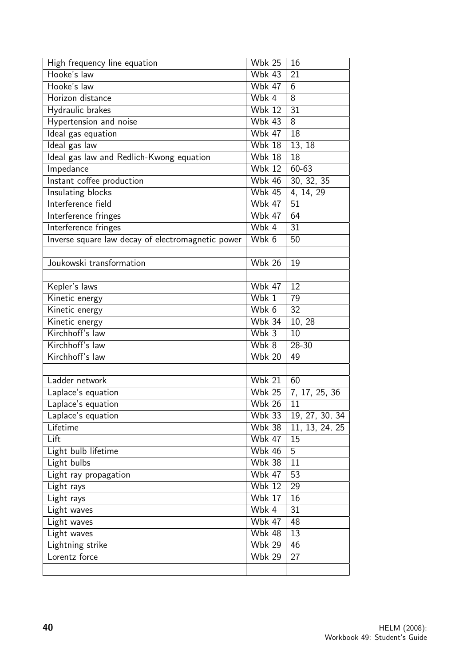| High frequency line equation                      | $\overline{\text{W}}$ bk 25 | 16             |
|---------------------------------------------------|-----------------------------|----------------|
| Hooke's law                                       | <b>Wbk 43</b>               | 21             |
| Hooke's law                                       | <b>Wbk 47</b>               | 6              |
| Horizon distance                                  | Wbk 4                       | $\overline{8}$ |
| Hydraulic brakes                                  | <b>Wbk 12</b>               | 31             |
| Hypertension and noise                            | <b>Wbk 43</b>               | $\overline{8}$ |
| Ideal gas equation                                | <b>Wbk 47</b>               | 18             |
| Ideal gas law                                     | <b>Wbk 18</b>               | 13, 18         |
| Ideal gas law and Redlich-Kwong equation          | <b>Wbk 18</b>               | 18             |
| Impedance                                         | <b>Wbk 12</b>               | $60 - 63$      |
| Instant coffee production                         | <b>Wbk 46</b>               | 30, 32, 35     |
| Insulating blocks                                 | <b>Wbk 45</b>               | 4, 14, 29      |
| Interference field                                | <b>Wbk 47</b>               | 51             |
| Interference fringes                              | <b>Wbk 47</b>               | 64             |
| Interference fringes                              | Wbk 4                       | 31             |
| Inverse square law decay of electromagnetic power | Wbk 6                       | 50             |
|                                                   |                             |                |
| Joukowski transformation                          | <b>Wbk 26</b>               | 19             |
|                                                   |                             |                |
| Kepler's laws                                     | <b>Wbk 47</b>               | 12             |
| Kinetic energy                                    | Wbk 1                       | 79             |
| Kinetic energy                                    | Wbk 6                       | 32             |
| Kinetic energy                                    | <b>Wbk 34</b>               | 10, 28         |
| Kirchhoff's law                                   | Wbk 3                       | 10             |
| Kirchhoff's law                                   | Wbk 8                       | 28-30          |
| Kirchhoff's law                                   | <b>Wbk 20</b>               | 49             |
|                                                   |                             |                |
| Ladder network                                    | <b>Wbk 21</b>               | 60             |
| Laplace's equation                                | <b>Wbk 25</b>               | 7, 17, 25, 36  |
| Laplace's equation                                | <b>Wbk 26</b>               | 11             |
| Laplace's equation                                | <b>Wbk 33</b>               | 19, 27, 30, 34 |
| Lifetime                                          | $\overline{\text{W}}$ bk 38 | 11, 13, 24, 25 |
| Lift                                              | <b>Wbk 47</b>               | 15             |
| Light bulb lifetime                               | <b>Wbk 46</b>               | 5              |
| Light bulbs                                       | <b>Wbk 38</b>               | 11             |
| Light ray propagation                             | <b>Wbk 47</b>               | 53             |
| Light rays                                        | <b>Wbk 12</b>               | 29             |
| Light rays                                        | <b>Wbk 17</b>               | 16             |
| Light waves                                       | Wbk 4                       | 31             |
| Light waves                                       | <b>Wbk 47</b>               | 48             |
| Light waves                                       | <b>Wbk 48</b>               | 13             |
| Lightning strike                                  | <b>Wbk 29</b>               | 46             |
| Lorentz force                                     | <b>Wbk 29</b>               | 27             |
|                                                   |                             |                |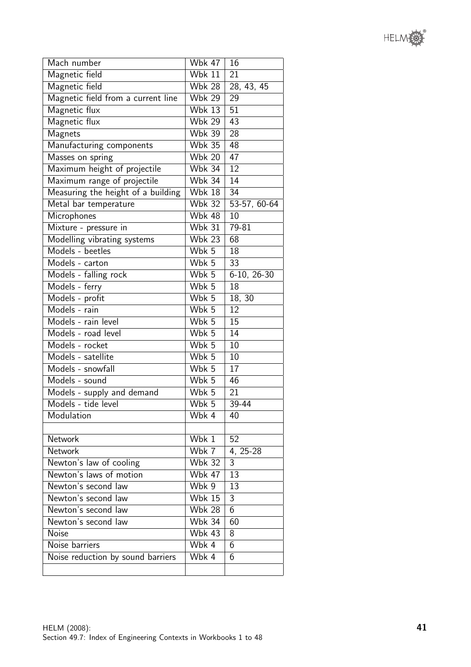

| Mach number                        | <b>Wbk 47</b>               | 16              |
|------------------------------------|-----------------------------|-----------------|
| Magnetic field                     | <b>Wbk 11</b>               | 21              |
| Magnetic field                     | <b>Wbk 28</b>               | 28, 43, 45      |
| Magnetic field from a current line | <b>Wbk 29</b>               | 29              |
| Magnetic flux                      | <b>Wbk 13</b>               | 51              |
| Magnetic flux                      | <b>Wbk 29</b>               | 43              |
| Magnets                            | $\overline{\text{W}}$ bk 39 | 28              |
| Manufacturing components           | <b>Wbk 35</b>               | 48              |
| Masses on spring                   | <b>Wbk 20</b>               | 47              |
| Maximum height of projectile       | <b>Wbk 34</b>               | 12              |
| Maximum range of projectile        | <b>Wbk 34</b>               | 14              |
| Measuring the height of a building | $\overline{\text{Wbk}}$ 18  | 34              |
| Metal bar temperature              | <b>Wbk 32</b>               | 53-57, 60-64    |
| Microphones                        | <b>Wbk 48</b>               | 10              |
| Mixture - pressure in              | <b>Wbk 31</b>               | 79-81           |
| Modelling vibrating systems        | <b>Wbk 23</b>               | $\overline{68}$ |
| Models - beetles                   | Wbk 5                       | 18              |
| Models - carton                    | Wbk 5                       | 33              |
| Models - falling rock              | Wbk 5                       | 6-10, 26-30     |
| Models - ferry                     | Wbk 5                       | 18              |
| Models - profit                    | Wbk 5                       | 18, 30          |
| Models - rain                      | Wbk 5                       | 12              |
| Models - rain level                | Wbk 5                       | 15              |
| Models - road level                | Wbk 5                       | 14              |
| Models - rocket                    | Wbk 5                       | 10              |
| Models - satellite                 | Wbk 5                       | 10              |
| Models - snowfall                  | Wbk 5                       | 17              |
| Models - sound                     | Wbk 5                       | 46              |
| Models - supply and demand         | Wbk 5                       | 21              |
| Models - tide level                | Wbk 5                       | 39-44           |
| Modulation                         | Wbk 4                       | 40              |
|                                    |                             |                 |
| <b>Network</b>                     | Wbk 1                       | 52              |
| <b>Network</b>                     | Wbk 7                       | 4, 25-28        |
| Newton's law of cooling            | <b>Wbk 32</b>               | 3               |
| Newton's laws of motion            | Wbk $47$                    | 13              |
| Newton's second law                | Wbk 9                       | 13              |
| Newton's second law                | $\overline{\text{W}}$ bk 15 | 3               |
| Newton's second law                | <b>Wbk 28</b>               | $\overline{6}$  |
| Newton's second law                | <b>Wbk 34</b>               | 60              |
| <b>Noise</b>                       | <b>Wbk 43</b>               | 8               |
| Noise barriers                     | Wbk 4                       | 6               |
| Noise reduction by sound barriers  | Wbk 4                       | 6               |
|                                    |                             |                 |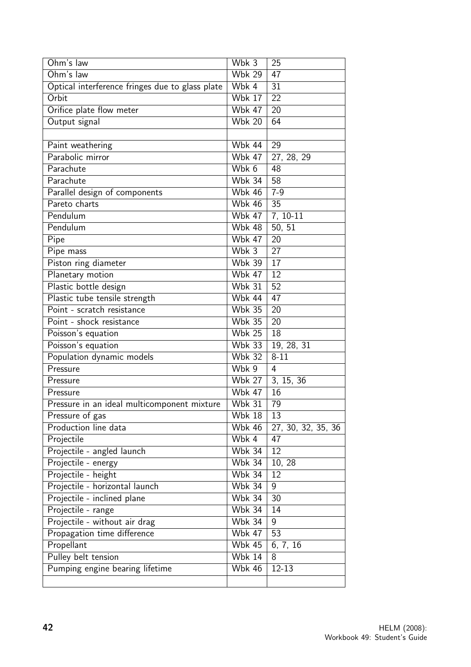| Ohm's law                                       | Wbk 3                       | 25                       |
|-------------------------------------------------|-----------------------------|--------------------------|
| Ohm's law                                       | <b>Wbk 29</b>               | 47                       |
| Optical interference fringes due to glass plate | Wbk 4                       | 31                       |
| Orbit                                           | <b>Wbk 17</b>               | 22                       |
| Orifice plate flow meter                        | <b>Wbk 47</b>               | 20                       |
| Output signal                                   | <b>Wbk 20</b>               | 64                       |
|                                                 |                             |                          |
| Paint weathering                                | Wbk 44                      | 29                       |
| Parabolic mirror                                | <b>Wbk 47</b>               | 27, 28, 29               |
| Parachute                                       | Wbk 6                       | 48                       |
| Parachute                                       | <b>Wbk 34</b>               | $\overline{58}$          |
| Parallel design of components                   | <b>Wbk 46</b>               | $7 - 9$                  |
| Pareto charts                                   | <b>Wbk 46</b>               | 35                       |
| Pendulum                                        | <b>Wbk 47</b>               | 7, 10-11                 |
| Pendulum                                        | <b>Wbk 48</b>               | 50.51                    |
| Pipe                                            | <b>Wbk 47</b>               | $\overline{20}$          |
| Pipe mass                                       | Wbk 3                       | 27                       |
| Piston ring diameter                            | <b>Wbk 39</b>               | 17                       |
| Planetary motion                                | <b>Wbk 47</b>               | 12                       |
| Plastic bottle design                           | <b>Wbk 31</b>               | 52                       |
| Plastic tube tensile strength                   | Wbk 44                      | 47                       |
| Point - scratch resistance                      | <b>Wbk 35</b>               | 20                       |
| Point - shock resistance                        | <b>Wbk 35</b>               | 20                       |
| Poisson's equation                              | <b>Wbk 25</b>               | 18                       |
| Poisson's equation                              | <b>Wbk 33</b>               | $\overline{19}$ , 28, 31 |
| Population dynamic models                       | $\overline{\text{W}}$ bk 32 | $8 - 11$                 |
| Pressure                                        | Wbk 9                       | 4                        |
| Pressure                                        | <b>Wbk 27</b>               | 3, 15, 36                |
| Pressure                                        | <b>Wbk 47</b>               | 16                       |
| Pressure in an ideal multicomponent mixture     | <b>Wbk 31</b>               | 79                       |
| Pressure of gas                                 | Wbk 18                      | 13                       |
| Production line data                            | <b>Wbk 46</b>               | 27, 30, 32, 35, 36       |
| Projectile                                      | Wbk 4                       | 47                       |
| Projectile - angled launch                      | <b>Wbk 34</b>               | 12                       |
| Projectile - energy                             | <b>Wbk 34</b>               | 10, 28                   |
| Projectile - height                             | <b>Wbk 34</b>               | $1\overline{2}$          |
| Projectile - horizontal launch                  | <b>Wbk 34</b>               | 9                        |
| Projectile - inclined plane                     | <b>Wbk 34</b>               | 30                       |
| Projectile - range                              | <b>Wbk 34</b>               | 14                       |
| Projectile - without air drag                   | <b>Wbk 34</b>               | 9                        |
| Propagation time difference                     | <b>Wbk 47</b>               | 53                       |
| Propellant                                      | <b>Wbk 45</b>               | 6, 7, 16                 |
| Pulley belt tension                             | <b>Wbk 14</b>               | 8                        |
| Pumping engine bearing lifetime                 | <b>Wbk 46</b>               | $12 - 13$                |
|                                                 |                             |                          |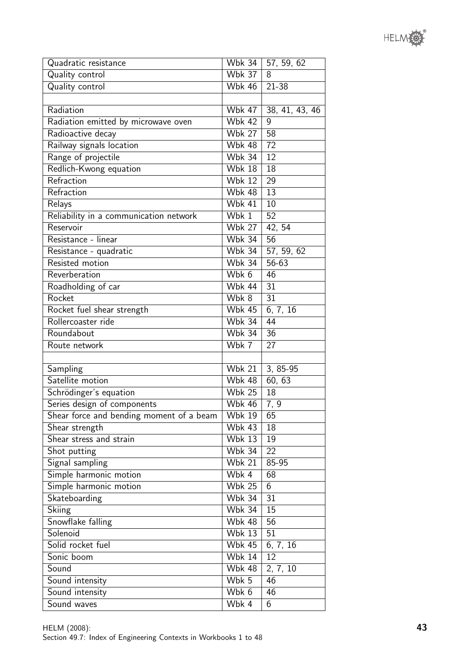| Sonic boom                                                                       | Wbk 14        | 12 |
|----------------------------------------------------------------------------------|---------------|----|
| Sound                                                                            | <b>Wbk 48</b> | 2, |
| Sound intensity                                                                  | Wbk 5         | 46 |
| Sound intensity                                                                  | Wbk 6         | 46 |
| Sound waves                                                                      | Wbk 4         | 6  |
| HELM (2008):<br>Section 49.7: Index of Engineering Contexts in Workbooks 1 to 48 |               |    |

| Quadratic resistance                     | <b>Wbk 34</b>               | 57, 59, 62      |  |  |
|------------------------------------------|-----------------------------|-----------------|--|--|
| Quality control                          | <b>Wbk 37</b>               | 8               |  |  |
| Quality control                          | <b>Wbk 46</b>               | 21-38           |  |  |
|                                          |                             |                 |  |  |
| Radiation                                | <b>Wbk 47</b>               | 38, 41, 43, 46  |  |  |
| Radiation emitted by microwave oven      | <b>Wbk 42</b>               | 9               |  |  |
| Radioactive decay                        | <b>Wbk 27</b>               | 58              |  |  |
| Railway signals location                 | <b>Wbk 48</b>               | 72              |  |  |
| Range of projectile                      | <b>Wbk 34</b>               | 12              |  |  |
| Redlich-Kwong equation                   | $\overline{\text{W}}$ bk 18 | 18              |  |  |
| Refraction                               | <b>Wbk 12</b>               | 29              |  |  |
| Refraction                               | <b>Wbk 48</b>               | 13              |  |  |
| Relays                                   | <b>Wbk 41</b>               | 10              |  |  |
| Reliability in a communication network   | Wbk 1                       | 52              |  |  |
| Reservoir                                | <b>Wbk 27</b>               | 42, 54          |  |  |
| Resistance - linear                      | <b>Wbk 34</b>               | $\overline{56}$ |  |  |
| Resistance - quadratic                   | <b>Wbk 34</b>               | 57, 59, 62      |  |  |
| Resisted motion                          | <b>Wbk 34</b>               | 56-63           |  |  |
| Reverberation                            | Wbk 6                       | 46              |  |  |
| Roadholding of car                       | <b>Wbk 44</b>               | 31              |  |  |
| Rocket                                   | Wbk 8                       | 31              |  |  |
| Rocket fuel shear strength               | <b>Wbk 45</b>               | 6, 7, 16        |  |  |
| Rollercoaster ride                       | <b>Wbk 34</b>               | 44              |  |  |
| Roundabout                               | $W$ bk 34                   | 36              |  |  |
| Route network                            | Wbk 7                       | 27              |  |  |
|                                          |                             |                 |  |  |
| Sampling                                 | <b>Wbk 21</b>               | 3, 85-95        |  |  |
| Satellite motion                         | <b>Wbk 48</b>               | 60, 63          |  |  |
| Schrödinger's equation                   | $W$ bk 25                   | 18              |  |  |
| Series design of components              | Wbk 46                      | 7, 9            |  |  |
| Shear force and bending moment of a beam | $\overline{\text{W}}$ bk 19 | 65              |  |  |
| Shear strength                           | $W$ bk 43                   | 18              |  |  |
| Shear stress and strain                  | <b>Wbk 13</b>               | 19              |  |  |
| Shot putting                             | <b>Wbk 34</b>               | 22              |  |  |
| Signal sampling                          | <b>Wbk 21</b>               | 85-95           |  |  |
| Simple harmonic motion                   | Wbk 4                       | 68              |  |  |
| Simple harmonic motion                   | <b>Wbk 25</b>               | 6               |  |  |
| Skateboarding                            | <b>Wbk 34</b>               | 31              |  |  |
| Skiing                                   | <b>Wbk 34</b>               | 15              |  |  |
| Snowflake falling                        | <b>Wbk 48</b>               | 56              |  |  |
| Solenoid                                 | <b>Wbk 13</b>               | 51              |  |  |
| Solid rocket fuel                        | <b>Wbk 45</b>               | 6, 7, 16        |  |  |
| Sonic boom                               | <b>Wbk 14</b>               | 12              |  |  |
| Sound                                    | <b>Wbk 48</b>               | 2, 7, 10        |  |  |
| Sound intensity                          | Wbk 5                       | 46              |  |  |
| Sound intensity                          | $M/hk$ 6                    | 46              |  |  |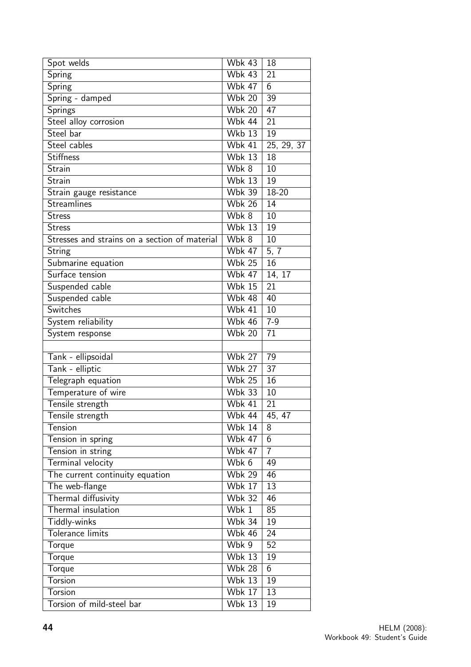| Spot welds                                    | <b>Wbk 43</b>               | 18                       |
|-----------------------------------------------|-----------------------------|--------------------------|
| Spring                                        | <b>Wbk 43</b>               | 21                       |
| <b>Spring</b>                                 | <b>Wbk 47</b>               | 6                        |
| Spring - damped                               | <b>Wbk 20</b>               | 39                       |
| Springs                                       | <b>Wbk 20</b>               | 47                       |
| Steel alloy corrosion                         | $W$ bk 44                   | $\overline{21}$          |
| Steel bar                                     | $\overline{\text{W}}$ kb 13 | 19                       |
| Steel cables                                  | <b>Wbk 41</b>               | $\overline{25}$ , 29, 37 |
| <b>Stiffness</b>                              | $W$ bk 13                   | 18                       |
| Strain                                        | $\overline{\text{W}}$ bk 8  | 10                       |
| <b>Strain</b>                                 | Wbk $13$                    | 19                       |
| Strain gauge resistance                       | <b>Wbk 39</b>               | 18-20                    |
| <b>Streamlines</b>                            | <b>Wbk 26</b>               | 14                       |
| <b>Stress</b>                                 | Wbk 8                       | 10                       |
| <b>Stress</b>                                 | $\overline{\text{W}}$ bk 13 | 19                       |
| Stresses and strains on a section of material | Wbk 8                       | 10                       |
| String                                        | <b>Wbk 47</b>               | 5, 7                     |
| Submarine equation                            | <b>Wbk 25</b>               | 16                       |
| Surface tension                               | <b>Wbk 47</b>               | 14, 17                   |
| Suspended cable                               | $\overline{\text{W}}$ bk 15 | 21                       |
| Suspended cable                               | Wbk 48                      | 40                       |
| Switches                                      | <b>Wbk 41</b>               | 10                       |
| System reliability                            | <b>Wbk 46</b>               | $7-9$                    |
| System response                               | <b>Wbk 20</b>               | 71                       |
|                                               |                             |                          |
| Tank - ellipsoidal                            | <b>Wbk 27</b>               | 79                       |
| Tank - elliptic                               | <b>Wbk 27</b>               | 37                       |
| Telegraph equation                            | <b>Wbk 25</b>               | 16                       |
| Temperature of wire                           | <b>Wbk 33</b>               | 10                       |
| Tensile strength                              | <b>Wbk 41</b>               | 21                       |
| Tensile strength                              | Wbk 44                      | 45, 47                   |
| Tension                                       | <b>Wbk 14</b>               | 8                        |
| Tension in spring                             | <b>Wbk 47</b>               | $\overline{6}$           |
| Tension in string                             | <b>Wbk 47</b>               | $\overline{7}$           |
| Terminal velocity                             | Wbk 6                       | 49                       |
| The current continuity equation               | $\overline{\text{Wbk}}$ 29  | 46                       |
| The web-flange                                | <b>Wbk 17</b>               | 13                       |
| Thermal diffusivity                           | <b>Wbk 32</b>               | 46                       |
| Thermal insulation                            | Wbk 1                       | 85                       |
| Tiddly-winks                                  | <b>Wbk 34</b>               | 19                       |
| Tolerance limits                              | <b>Wbk 46</b>               | 24                       |
| Torque                                        | Wbk 9                       | 52                       |
| Torque                                        | <b>Wbk 13</b>               | 19                       |
| Torque                                        | <b>Wbk 28</b>               | $\overline{6}$           |
| <b>Torsion</b>                                | <b>Wbk 13</b>               | 19                       |
| Torsion                                       | <b>Wbk 17</b>               | 13                       |
| Torsion of mild-steel bar                     | <b>Wbk 13</b>               | 19                       |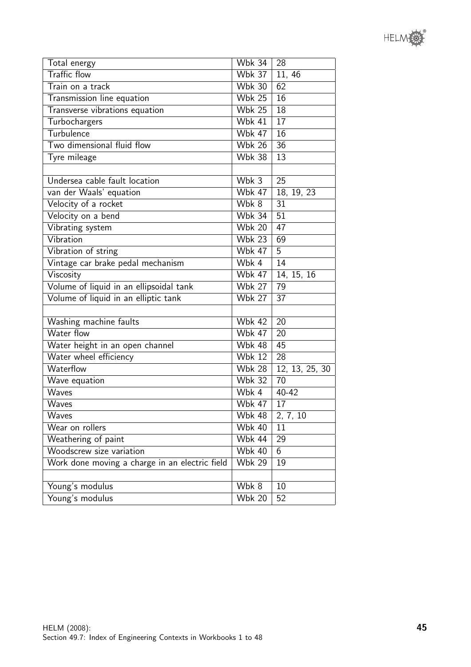| Total energy                                   | <b>Wbk 34</b> | 28              |  |  |
|------------------------------------------------|---------------|-----------------|--|--|
| <b>Traffic flow</b>                            | <b>Wbk 37</b> | 11, 46          |  |  |
| Train on a track                               | <b>Wbk 30</b> | 62              |  |  |
| Transmission line equation                     | <b>Wbk 25</b> | 16              |  |  |
| Transverse vibrations equation                 | <b>Wbk 25</b> | 18              |  |  |
| Turbochargers                                  | Wbk $41$      | 17              |  |  |
| Turbulence                                     | <b>Wbk 47</b> | 16              |  |  |
| Two dimensional fluid flow                     | <b>Wbk 26</b> | 36              |  |  |
| Tyre mileage                                   | <b>Wbk 38</b> | 13              |  |  |
|                                                |               |                 |  |  |
| Undersea cable fault location                  | Wbk 3         | 25              |  |  |
| van der Waals' equation                        | $W$ bk 47     | 18, 19, 23      |  |  |
| Velocity of a rocket                           | Wbk 8         | 31              |  |  |
| Velocity on a bend                             | <b>Wbk 34</b> | $\overline{51}$ |  |  |
| Vibrating system                               | <b>Wbk 20</b> | 47              |  |  |
| Vibration                                      | <b>Wbk 23</b> | 69              |  |  |
| Vibration of string                            | <b>Wbk 47</b> | 5               |  |  |
| Vintage car brake pedal mechanism              | Wbk 4         | 14              |  |  |
| Viscosity                                      | <b>Wbk 47</b> | 14, 15, 16      |  |  |
| Volume of liquid in an ellipsoidal tank        | <b>Wbk 27</b> | 79              |  |  |
| Volume of liquid in an elliptic tank           | <b>Wbk 27</b> | $\overline{37}$ |  |  |
|                                                |               |                 |  |  |
| Washing machine faults                         | <b>Wbk 42</b> | 20              |  |  |
| Water flow                                     | <b>Wbk 47</b> | 20              |  |  |
| Water height in an open channel                | <b>Wbk 48</b> | 45              |  |  |
| Water wheel efficiency                         | <b>Wbk 12</b> | 28              |  |  |
| Waterflow                                      | <b>Wbk 28</b> | 12, 13, 25, 30  |  |  |
| Wave equation                                  | <b>Wbk 32</b> | 70              |  |  |
| Waves                                          | Wbk 4         | $40 - 42$       |  |  |
| Waves                                          | <b>Wbk 47</b> | 17              |  |  |
| Waves                                          | <b>Wbk 48</b> | 2, 7, 10        |  |  |
| Wear on rollers                                | <b>Wbk 40</b> | 11              |  |  |
| Weathering of paint                            | <b>Wbk 44</b> | 29              |  |  |
| Woodscrew size variation                       | <b>Wbk 40</b> | 6               |  |  |
| Work done moving a charge in an electric field | <b>Wbk 29</b> | 19              |  |  |
|                                                |               |                 |  |  |
| Young's modulus                                | Wbk 8         | 10              |  |  |
| Young's modulus                                | <b>Wbk 20</b> | 52              |  |  |

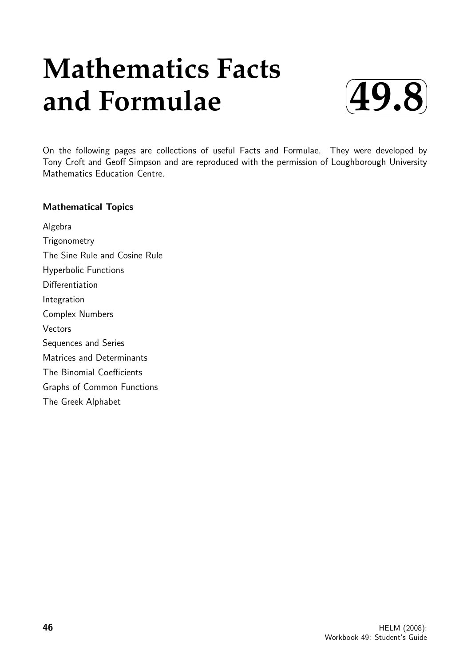# **Mathematics Facts and Formulae**



On the following pages are collections of useful Facts and Formulae. They were developed by Tony Croft and Geoff Simpson and are reproduced with the permission of Loughborough University Mathematics Education Centre.

#### Mathematical Topics

Algebra **Trigonometry** The Sine Rule and Cosine Rule Hyperbolic Functions **Differentiation** Integration Complex Numbers **Vectors** Sequences and Series Matrices and Determinants The Binomial Coefficients Graphs of Common Functions The Greek Alphabet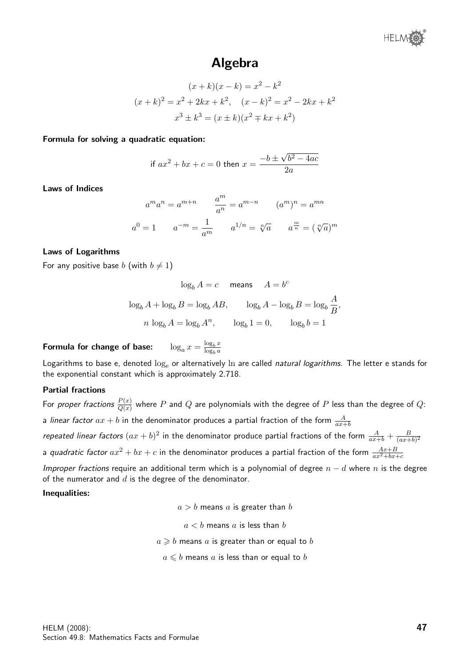

### Algebra

$$
(x + k)(x - k) = x2 - k2
$$
  

$$
(x + k)2 = x2 + 2kx + k2, \quad (x - k)2 = x2 - 2kx + k2
$$
  

$$
x3 \pm k3 = (x \pm k)(x2 \mp kx + k2)
$$

Formula for solving a quadratic equation:

if 
$$
ax^2 + bx + c = 0
$$
 then  $x = \frac{-b \pm \sqrt{b^2 - 4ac}}{2a}$ 

Laws of Indices

$$
a^m a^n = a^{m+n} \qquad \frac{a^m}{a^n} = a^{m-n} \qquad (a^m)^n = a^{mn}
$$

$$
a^0 = 1 \qquad a^{-m} = \frac{1}{a^m} \qquad a^{1/n} = \sqrt[n]{a} \qquad a^{\frac{m}{n}} = (\sqrt[n]{a})^m
$$

#### Laws of Logarithms

For any positive base b (with  $b \neq 1$ )

$$
\log_b A = c \quad \text{means} \quad A = b^c
$$
  

$$
\log_b A + \log_b B = \log_b AB, \qquad \log_b A - \log_b B = \log_b \frac{A}{B},
$$
  

$$
n \log_b A = \log_b A^n, \qquad \log_b 1 = 0, \qquad \log_b b = 1
$$

Formula for change of base:  $\log_b x$  $\log_b a$ 

Logarithms to base e, denoted  $log_e$  or alternatively  $ln$  are called natural logarithms. The letter e stands for the exponential constant which is approximately 2.718.

#### Partial fractions

For *proper fractions*  $\frac{P(x)}{Q(x)}$  where  $P$  and  $Q$  are polynomials with the degree of  $P$  less than the degree of  $Q$ : a *linear factor*  $ax + b$  in the denominator produces a partial fraction of the form  $\frac{A}{ax + b}$ repeated linear factors  $(ax + b)^2$  in the denominator produce partial fractions of the form  $\frac{A}{ax+b} + \frac{B}{(ax+b)^2}$  $\sqrt{(ax+b)^2}$ a quadratic factor  $ax^2 + bx + c$  in the denominator produces a partial fraction of the form  $\frac{Ax+B}{ax^2+bx+c}$ 

*Improper fractions* require an additional term which is a polynomial of degree  $n - d$  where n is the degree of the numerator and  $d$  is the degree of the denominator.

#### Inequalities:

 $a > b$  means a is greater than b

$$
a < b
$$
 means a is less than b

 $a \geq b$  means a is greater than or equal to b

 $a \leq b$  means a is less than or equal to b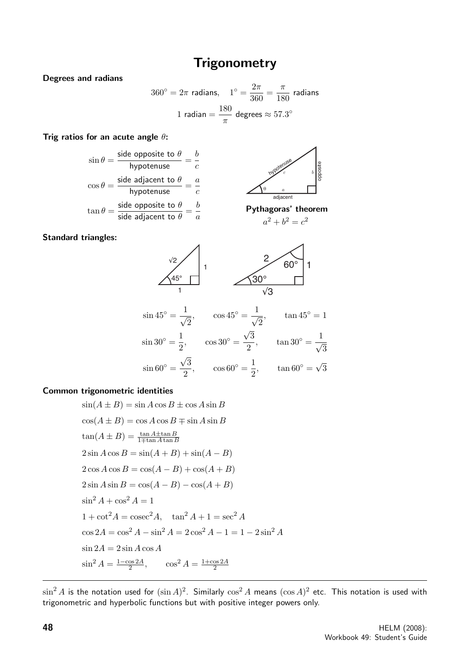## **Trigonometry**

Degrees and radians

$$
360^{\circ} = 2\pi \text{ radians}, \quad 1^{\circ} = \frac{2\pi}{360} = \frac{\pi}{180} \text{ radians}
$$

$$
1 \text{ radian} = \frac{180}{\pi} \text{ degrees} \approx 57.3^{\circ}
$$

×

#### Trig ratios for an acute angle  $\theta$ :

$$
\sin \theta = \frac{\text{side opposite to } \theta}{\text{hypotenuse}} = \frac{b}{c}
$$
\n
$$
\cos \theta = \frac{\text{side adjacent to } \theta}{\text{hypotenuse}} = \frac{a}{c}
$$
\n
$$
\tan \theta = \frac{\text{side opposite to } \theta}{\text{side adjacent to } \theta} = \frac{b}{a}
$$
\nPythagoras' theorem\n
$$
a^2 + b^2 = c^2
$$

Standard triangles:



$$
\sin 45^\circ = \frac{1}{\sqrt{2}}, \qquad \cos 45^\circ = \frac{1}{\sqrt{2}}, \qquad \tan 45^\circ = 1
$$
  

$$
\sin 30^\circ = \frac{1}{2}, \qquad \cos 30^\circ = \frac{\sqrt{3}}{2}, \qquad \tan 30^\circ = \frac{1}{\sqrt{3}}
$$
  

$$
\sin 60^\circ = \frac{\sqrt{3}}{2}, \qquad \cos 60^\circ = \frac{1}{2}, \qquad \tan 60^\circ = \sqrt{3}
$$

#### Common trigonometric identities

$$
\sin(A \pm B) = \sin A \cos B \pm \cos A \sin B
$$
  
\n
$$
\cos(A \pm B) = \cos A \cos B \mp \sin A \sin B
$$
  
\n
$$
\tan(A \pm B) = \frac{\tan A \pm \tan B}{1 \mp \tan A \tan B}
$$
  
\n
$$
2 \sin A \cos B = \sin(A + B) + \sin(A - B)
$$
  
\n
$$
2 \cos A \cos B = \cos(A - B) + \cos(A + B)
$$
  
\n
$$
2 \sin A \sin B = \cos(A - B) - \cos(A + B)
$$
  
\n
$$
\sin^2 A + \cos^2 A = 1
$$
  
\n
$$
1 + \cot^2 A = \csc^2 A, \quad \tan^2 A + 1 = \sec^2 A
$$
  
\n
$$
\cos 2A = \cos^2 A - \sin^2 A = 2 \cos^2 A - 1 = 1 - 2 \sin^2 A
$$
  
\n
$$
\sin 2A = 2 \sin A \cos A
$$
  
\n
$$
\sin^2 A = \frac{1 - \cos 2A}{2}, \qquad \cos^2 A = \frac{1 + \cos 2A}{2}
$$

 $\sin^2 A$  is the notation used for  $(\sin A)^2$ . Similarly  $\cos^2 A$  means  $(\cos A)^2$  etc. This notation is used with trigonometric and hyperbolic functions but with positive integer powers only.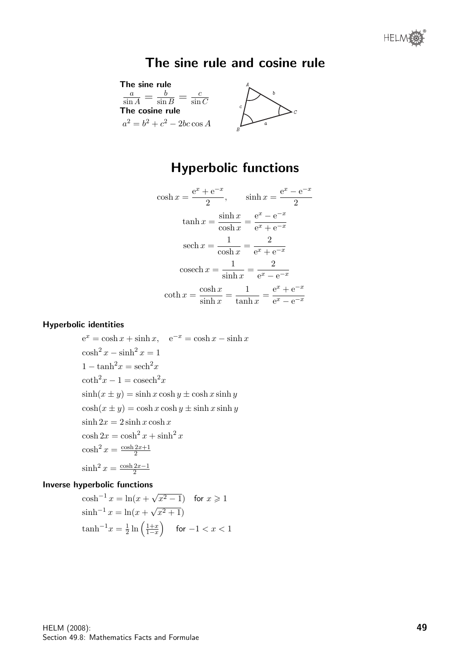## The sine rule and cosine rule



## Hyperbolic functions

$$
\cosh x = \frac{e^x + e^{-x}}{2}, \qquad \sinh x = \frac{e^x - e^{-x}}{2}
$$

$$
\tanh x = \frac{\sinh x}{\cosh x} = \frac{e^x - e^{-x}}{e^x + e^{-x}}
$$

$$
\operatorname{sech} x = \frac{1}{\cosh x} = \frac{2}{e^x + e^{-x}}
$$

$$
\operatorname{cosech} x = \frac{1}{\sinh x} = \frac{2}{e^x - e^{-x}}
$$

$$
\coth x = \frac{\cosh x}{\sinh x} = \frac{1}{\tanh x} = \frac{e^x + e^{-x}}{e^x - e^{-x}}
$$

#### Hyperbolic identities

 $e^x = \cosh x + \sinh x$ ,  $e^{-x} = \cosh x - \sinh x$  $\cosh^2 x - \sinh^2 x = 1$  $1 - \tanh^2 x = \operatorname{sech}^2 x$  $\coth^2 x - 1 = \cosech^2 x$  $\sinh(x \pm y) = \sinh x \cosh y \pm \cosh x \sinh y$  $\cosh(x \pm y) = \cosh x \cosh y \pm \sinh x \sinh y$  $\sinh 2x = 2 \sinh x \cosh x$  $\cosh 2x = \cosh^2 x + \sinh^2 x$  $\cosh^2 x = \frac{\cosh 2x + 1}{2}$ 2  $\sinh^2 x = \frac{\cosh 2x - 1}{2}$ 2

#### Inverse hyperbolic functions

$$
\cosh^{-1} x = \ln(x + \sqrt{x^2 - 1}) \quad \text{for } x \ge 1
$$
  
\n
$$
\sinh^{-1} x = \ln(x + \sqrt{x^2 + 1})
$$
  
\n
$$
\tanh^{-1} x = \frac{1}{2} \ln \left( \frac{1+x}{1-x} \right) \quad \text{for } -1 < x < 1
$$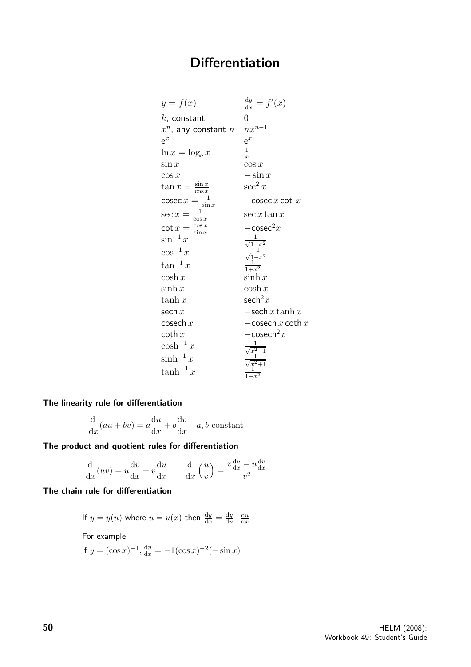# Differentiation

| $y = f(x)$                       | $\frac{dy}{dx} = f'(x)$                                                                            |
|----------------------------------|----------------------------------------------------------------------------------------------------|
| $k$ , constant                   | 0                                                                                                  |
| $x^n$ , any constant $n$         | $nx^{n-1}$                                                                                         |
| $\mathsf{e}^x$                   | $e^x$                                                                                              |
| $\ln x = \log_e x$               | $\frac{1}{x}$                                                                                      |
| $\sin x$                         | $\cos x$                                                                                           |
| $\cos x$                         | $-\sin x$                                                                                          |
| $\tan x = \frac{\sin x}{\cos x}$ | $\sec^2 x$                                                                                         |
| cosec $x = \frac{1}{\sin x}$     | $-\csc x \cot x$                                                                                   |
| $\sec x = \frac{1}{\cos x}$      | $\sec x \tan x$                                                                                    |
| $\cot x = \frac{\cos x}{\sin x}$ | $-\csc^2 x$                                                                                        |
| $\sin^{-1} x$                    |                                                                                                    |
| $\cos^{-1} x$                    |                                                                                                    |
| $\tan^{-1} x$                    | $\frac{\frac{1}{\sqrt{1-x^2}}}{\frac{-1}{\sqrt{1-x^2}}}$ $\frac{1}{1+x^2}$                         |
| $\cosh x$                        | $\sinh x$                                                                                          |
| $\sinh x$                        | $\cosh x$                                                                                          |
| $\tanh x$                        | sech $^2x$                                                                                         |
| sech $x$                         | $-\mathrm{sech}\,x\tanh x$                                                                         |
| cosech $x$                       | $-\mathrm{cosech}\,x\,\mathrm{coth}\,x$                                                            |
| coth $x$                         | $-\cosech^2x$                                                                                      |
| $\cosh^{-1} x$                   |                                                                                                    |
| $\sinh^{-1} x$                   |                                                                                                    |
| $\tanh^{-1} x$                   | $\begin{array}{c}\n\frac{1}{\sqrt{x^2-1}}\\ \frac{1}{\sqrt{x^2+1}}\\ \frac{1}{1-x^2}\n\end{array}$ |

The linearity rule for differentiation

$$
\frac{\mathrm{d}}{\mathrm{d}x}(au + bv) = a\frac{\mathrm{d}u}{\mathrm{d}x} + b\frac{\mathrm{d}v}{\mathrm{d}x} \quad a, b \text{ constant}
$$

The product and quotient rules for differentiation

$$
\frac{\mathrm{d}}{\mathrm{d}x}(uv) = u\frac{\mathrm{d}v}{\mathrm{d}x} + v\frac{\mathrm{d}u}{\mathrm{d}x} \qquad \frac{\mathrm{d}}{\mathrm{d}x}\left(\frac{u}{v}\right) = \frac{v\frac{\mathrm{d}u}{\mathrm{d}x} - u\frac{\mathrm{d}v}{\mathrm{d}x}}{v^2}
$$

The chain rule for differentiation

If 
$$
y = y(u)
$$
 where  $u = u(x)$  then  $\frac{dy}{dx} = \frac{dy}{du} \cdot \frac{du}{dx}$   
For example,  
if  $y = (\cos x)^{-1}, \frac{dy}{dx} = -1(\cos x)^{-2}(-\sin x)$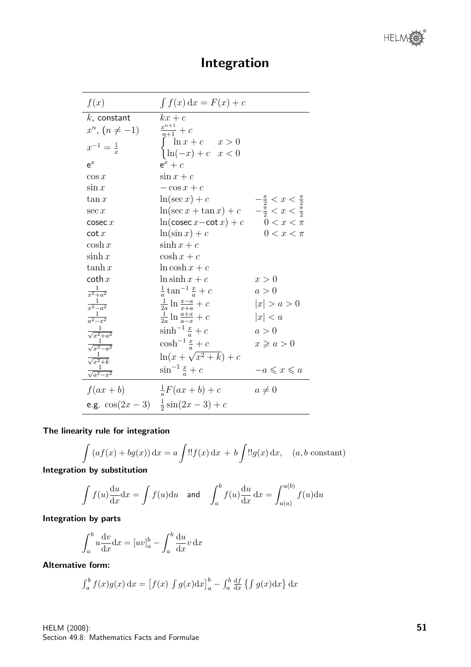HELM

| f(x)                       | $\int f(x) dx = F(x) + c$                                            |                                      |
|----------------------------|----------------------------------------------------------------------|--------------------------------------|
| $k$ , constant             | $kx+c$                                                               |                                      |
| $x^n$ , $(n \neq -1)$      | $\frac{x^{n+1}}{n+1}+c$                                              |                                      |
| $x^{-1} = \frac{1}{x}$     | $\begin{cases} \ln x + c & x > 0 \\ \ln(-x) + c & x < 0 \end{cases}$ |                                      |
| $e^x$                      | $e^x + c$                                                            |                                      |
| $\cos x$                   | $\sin x + c$                                                         |                                      |
| $\sin x$                   | $-\cos x + c$                                                        |                                      |
| $\tan x$                   | $\ln(\sec x) + c$                                                    | $-\frac{\pi}{2} < x < \frac{\pi}{2}$ |
| $\sec x$                   | $\ln(\sec x + \tan x) + c$ $-\frac{\pi}{2} < x < \frac{\pi}{2}$      |                                      |
| $\csc x$                   | $\ln(\csc x - \cot x) + c$                                           | $0 < x < \pi$                        |
| $\cot x$                   | $\ln(\sin x) + c$                                                    | $0 < x < \pi$                        |
| $\cosh x$                  | $\sinh x + c$                                                        |                                      |
| $\sinh x$                  | $\cosh x + c$                                                        |                                      |
| $\tanh x$                  | $ln \cosh x + c$                                                     |                                      |
| $\coth x$                  | $\ln \sinh x + c$                                                    | x > 0                                |
| $\frac{1}{x^2+a^2}$        | $rac{1}{a}$ tan <sup>-1</sup> $rac{x}{a}$ + c                        | a>0                                  |
| $\frac{1}{r^2-a^2}$        | $\frac{1}{2a}$ ln $\frac{x-a}{x+a}$ + c                              | x  > a > 0                           |
| $\frac{1}{a^2-x^2}$        | $\frac{1}{2a}$ ln $\frac{a+x}{a-x}+c$                                | x  < a                               |
| $\frac{1}{\sqrt{x^2+a^2}}$ | $\sinh^{-1} \frac{x}{a} + c$                                         | a>0                                  |
| $\frac{1}{\sqrt{x^2-a^2}}$ | $\cosh^{-1} \frac{x}{a} + c$                                         | $x \geqslant a > 0$                  |
| $\frac{1}{\sqrt{x^2+k}}$   | $\ln(x+\sqrt{x^2+k})+c$                                              |                                      |
| $\frac{1}{\sqrt{a^2-x^2}}$ | $\sin^{-1} \frac{x}{a} + c$                                          | $-a \leqslant x \leqslant a$         |
| $f(ax+b)$                  | $\frac{1}{a}F(ax+b)+c$                                               | $a\neq 0$                            |
|                            | e.g. $\cos(2x-3)$ $\frac{1}{2}\sin(2x-3)+c$                          |                                      |

## Integration

#### The linearity rule for integration

$$
\int (af(x) + bg(x)) dx = a \int \frac{d!f(x) dx + b \int l!g(x) dx, \quad (a, b \text{ constant})
$$

Integration by substitution

$$
\int f(u) \frac{du}{dx} dx = \int f(u) du \quad \text{and} \quad \int_a^b f(u) \frac{du}{dx} dx = \int_{u(a)}^{u(b)} f(u) du
$$

Integration by parts

$$
\int_{a}^{b} u \frac{\mathrm{d}v}{\mathrm{d}x} \mathrm{d}x = [uv]_{a}^{b} - \int_{a}^{b} \frac{\mathrm{d}u}{\mathrm{d}x} v \, \mathrm{d}x
$$

Alternative form:

$$
\int_a^b f(x)g(x) dx = [f(x) \int g(x)dx]_a^b - \int_a^b \frac{df}{dx} \{ \int g(x)dx \} dx
$$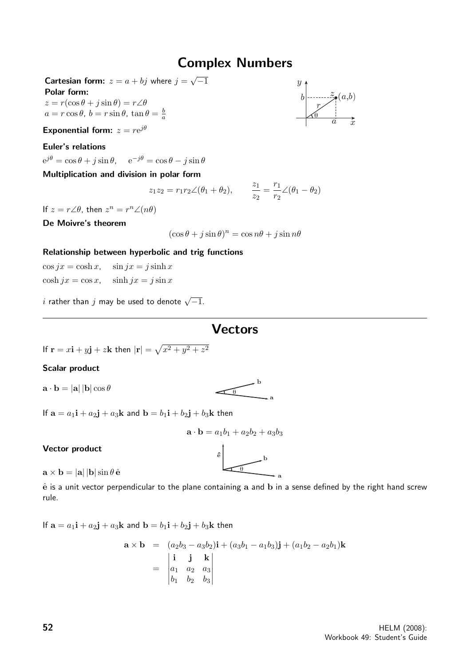### Complex Numbers

**Cartesian form:**  $z = a + bj$  where  $j =$ √  $-1$ Polar form:

 $z = r(\cos \theta + j \sin \theta) = r\angle\theta$ 

 $a = r \cos \theta$ ,  $b = r \sin \theta$ ,  $\tan \theta = \frac{b}{a}$ 

Exponential form:  $z = re^{j\theta}$ 

#### Euler's relations

 $e^{j\theta} = \cos\theta + j\sin\theta$ ,  $e^{-j\theta} = \cos\theta - j\sin\theta$ 

#### Multiplication and division in polar form

$$
z_1 z_2 = r_1 r_2 \angle (\theta_1 + \theta_2),
$$
  $\frac{z_1}{z_2} = \frac{r_1}{r_2} \angle (\theta_1 - \theta_2)$ 

If  $z = r \angle \theta$ , then  $z^n = r^n \angle (n\theta)$ 

De Moivre's theorem

 $(\cos \theta + j \sin \theta)^n = \cos n\theta + j \sin n\theta$ 

#### Relationship between hyperbolic and trig functions

 $\cos jx = \cosh x$ ,  $\sin jx = j \sinh x$  $\cosh jx = \cos x$ ,  $\sinh jx = j \sin x$ 

 $i$  rather than  $j$  may be used to denote  $\sqrt{-1}.$ 

### **Vectors**

If  $\mathbf{r} = x\mathbf{i} + y\mathbf{j} + z\mathbf{k}$  then  $|\mathbf{r}| = \sqrt{x^2 + y^2 + z^2}$ 

#### Scalar product

 $\mathbf{a} \cdot \mathbf{b} = |\mathbf{a}| |\mathbf{b}| \cos \theta$ 

$$
\overbrace{\theta} \longrightarrow a
$$

If  $\mathbf{a} = a_1 \mathbf{i} + a_2 \mathbf{j} + a_3 \mathbf{k}$  and  $\mathbf{b} = b_1 \mathbf{i} + b_2 \mathbf{j} + b_3 \mathbf{k}$  then

$$
\mathbf{a} \cdot \mathbf{b} = a_1b_1 + a_2b_2 + a_3b_3
$$

eˆ

b

#### Vector product

 $\mathbf{a} \times \mathbf{b} = |\mathbf{a}| |\mathbf{b}| \sin \theta \, \hat{\mathbf{e}}$ 

a  $\hat{e}$  is a unit vector perpendicular to the plane containing a and b in a sense defined by the right hand screw rule.

θ

If  $\mathbf{a} = a_1 \mathbf{i} + a_2 \mathbf{j} + a_3 \mathbf{k}$  and  $\mathbf{b} = b_1 \mathbf{i} + b_2 \mathbf{j} + b_3 \mathbf{k}$  then

$$
\mathbf{a} \times \mathbf{b} = (a_2b_3 - a_3b_2)\mathbf{i} + (a_3b_1 - a_1b_3)\mathbf{j} + (a_1b_2 - a_2b_1)\mathbf{k}
$$
  
=  $\begin{vmatrix} \mathbf{i} & \mathbf{j} & \mathbf{k} \\ a_1 & a_2 & a_3 \\ b_1 & b_2 & b_3 \end{vmatrix}$ 

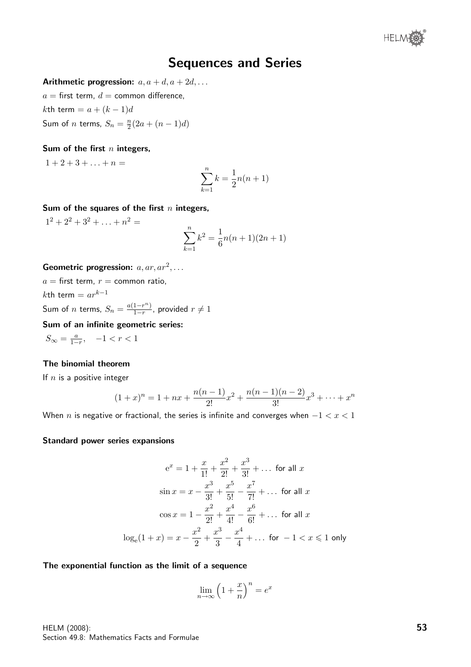

### Sequences and Series

Arithmetic progression:  $a, a + d, a + 2d, \ldots$ 

 $a =$  first term,  $d =$  common difference,

kth term =  $a + (k-1)d$ 

Sum of *n* terms,  $S_n = \frac{n}{2}$  $\frac{n}{2}(2a + (n-1)d)$ 

#### Sum of the first  $n$  integers,

 $1 + 2 + 3 + \ldots + n =$ 

$$
\sum_{k=1}^{n} k = \frac{1}{2}n(n+1)
$$

#### Sum of the squares of the first  $n$  integers,

 $1^2 + 2^2 + 3^2 + \ldots + n^2 =$ 

$$
\sum_{k=1}^{n} k^2 = \frac{1}{6}n(n+1)(2n+1)
$$

#### Geometric progression:  $a, ar, ar^2, \ldots$

 $a =$  first term,  $r =$  common ratio, kth term =  $ar^{k-1}$ Sum of *n* terms,  $S_n = \frac{a(1-r^n)}{1-r}$  $\frac{1-r^{n}}{1-r}$ , provided  $r \neq 1$ 

Sum of an infinite geometric series:

 $S_{\infty} = \frac{a}{1-r}, \quad -1 < r < 1$ 

#### The binomial theorem

If  $n$  is a positive integer

$$
(1+x)^n = 1 + nx + \frac{n(n-1)}{2!}x^2 + \frac{n(n-1)(n-2)}{3!}x^3 + \dots + x^n
$$

When n is negative or fractional, the series is infinite and converges when  $-1 < x < 1$ 

#### Standard power series expansions

$$
e^{x} = 1 + \frac{x}{1!} + \frac{x^{2}}{2!} + \frac{x^{3}}{3!} + \dots \text{ for all } x
$$
  
\n
$$
\sin x = x - \frac{x^{3}}{3!} + \frac{x^{5}}{5!} - \frac{x^{7}}{7!} + \dots \text{ for all } x
$$
  
\n
$$
\cos x = 1 - \frac{x^{2}}{2!} + \frac{x^{4}}{4!} - \frac{x^{6}}{6!} + \dots \text{ for all } x
$$
  
\n
$$
\log_{e}(1 + x) = x - \frac{x^{2}}{2} + \frac{x^{3}}{3} - \frac{x^{4}}{4} + \dots \text{ for } -1 < x \leq 1 \text{ only}
$$

#### The exponential function as the limit of a sequence

$$
\lim_{n \to \infty} \left( 1 + \frac{x}{n} \right)^n = e^x
$$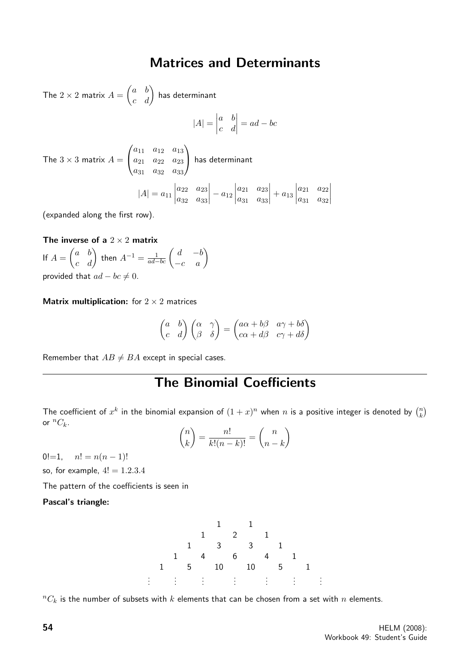### Matrices and Determinants

The  $2\times 2$  matrix  $A=\begin{pmatrix} a & b \ c & d \end{pmatrix}$  has determinant

$$
|A| = \begin{vmatrix} a & b \\ c & d \end{vmatrix} = ad - bc
$$

The  $3 \times 3$  matrix  $A =$  $\sqrt{ }$  $\mathcal{L}$  $a_{11}$   $a_{12}$   $a_{13}$  $a_{21}$   $a_{22}$   $a_{23}$ a<sup>31</sup> a<sup>32</sup> a<sup>33</sup>  $\setminus$  has determinant  $|A| = a_{11}$  $a_{22}$   $a_{23}$  $a_{32}$   $a_{33}$  $\Big|-a_{12}\Big|$  $a_{21}$   $a_{23}$  $a_{31}$   $a_{33}$   $+ a_{13}$  $a_{21}$   $a_{22}$  $a_{31}$   $a_{32}$  

(expanded along the first row).

The inverse of a  $2 \times 2$  matrix If  $A = \begin{pmatrix} a & b \ c & d \end{pmatrix}$  then  $A^{-1} = \frac{1}{ad-bc} \begin{pmatrix} d & -b \ -c & a \end{pmatrix}$ provided that  $ad - bc \neq 0$ .

**Matrix multiplication:** for  $2 \times 2$  matrices

$$
\begin{pmatrix} a & b \\ c & d \end{pmatrix} \begin{pmatrix} \alpha & \gamma \\ \beta & \delta \end{pmatrix} = \begin{pmatrix} a\alpha + b\beta & a\gamma + b\delta \\ c\alpha + d\beta & c\gamma + d\delta \end{pmatrix}
$$

Remember that  $AB \neq BA$  except in special cases.

## The Binomial Coefficients

The coefficient of  $x^k$  in the binomial expansion of  $(1+x)^n$  when n is a positive integer is denoted by  $\binom{n}{k}$  $\binom{n}{k}$ or  ${}^nC_k$ .

$$
\binom{n}{k} = \frac{n!}{k!(n-k)!} = \binom{n}{n-k}
$$

0!=1,  $n! = n(n-1)!$ 

so, for example,  $4! = 1.2.3.4$ 

The pattern of the coefficients is seen in

Pascal's triangle:



 ${}^nC_k$  is the number of subsets with  $k$  elements that can be chosen from a set with  $n$  elements.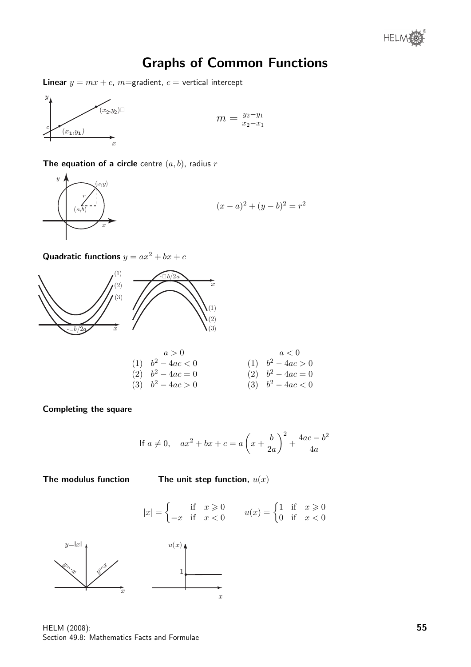® **HELM** 

## Graphs of Common Functions

**Linear**  $y = mx + c$ , m=gradient,  $c =$  vertical intercept



$$
m = \frac{y_2 - y_1}{x_2 - x_1}
$$

The equation of a circle centre  $(a, b)$ , radius r



 $(x-a)^2 + (y-b)^2 = r^2$ 

Quadratic functions  $y = ax^2 + bx + c$ 



| $a > 0$             | $a < 0$             |
|---------------------|---------------------|
| (1) $b^2 - 4ac < 0$ | (1) $b^2 - 4ac > 0$ |
| (2) $b^2 - 4ac = 0$ | (2) $b^2 - 4ac = 0$ |
| (3) $b^2 - 4ac > 0$ | (3) $b^2 - 4ac < 0$ |

Completing the square

If 
$$
a \neq 0
$$
,  $ax^2 + bx + c = a\left(x + \frac{b}{2a}\right)^2 + \frac{4ac - b^2}{4a}$ 

0 if  $x < 0$ 

The modulus function The unit step function,  $u(x)$ 



HELM (2008): Section 49.8: Mathematics Facts and Formulae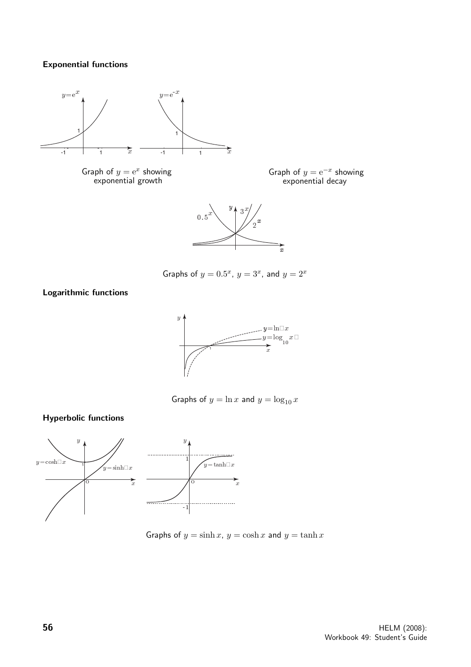#### Exponential functions



Graph of  $y = e^x$  showing exponential growth

Graph of  $y = e^{-x}$  showing exponential decay



Graphs of  $y = 0.5^x$ ,  $y = 3^x$ , and  $y = 2^x$ 

Logarithmic functions

Hyperbolic functions



Graphs of  $y = \ln x$  and  $y = \log_{10} x$ 



Graphs of  $y = \sinh x$ ,  $y = \cosh x$  and  $y = \tanh x$